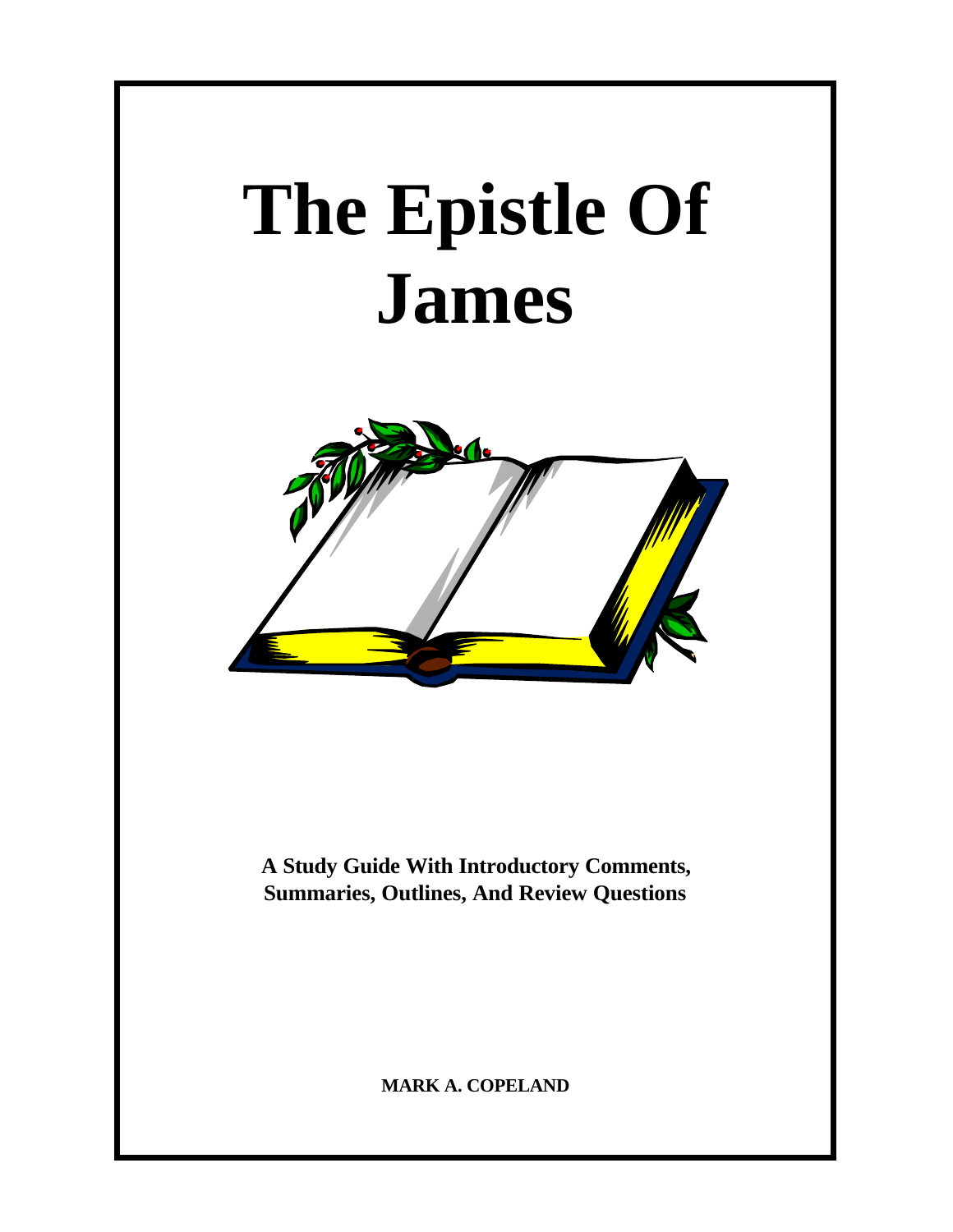# **The Epistle Of James**



**A Study Guide With Introductory Comments, Summaries, Outlines, And Review Questions**

**MARK A. COPELAND**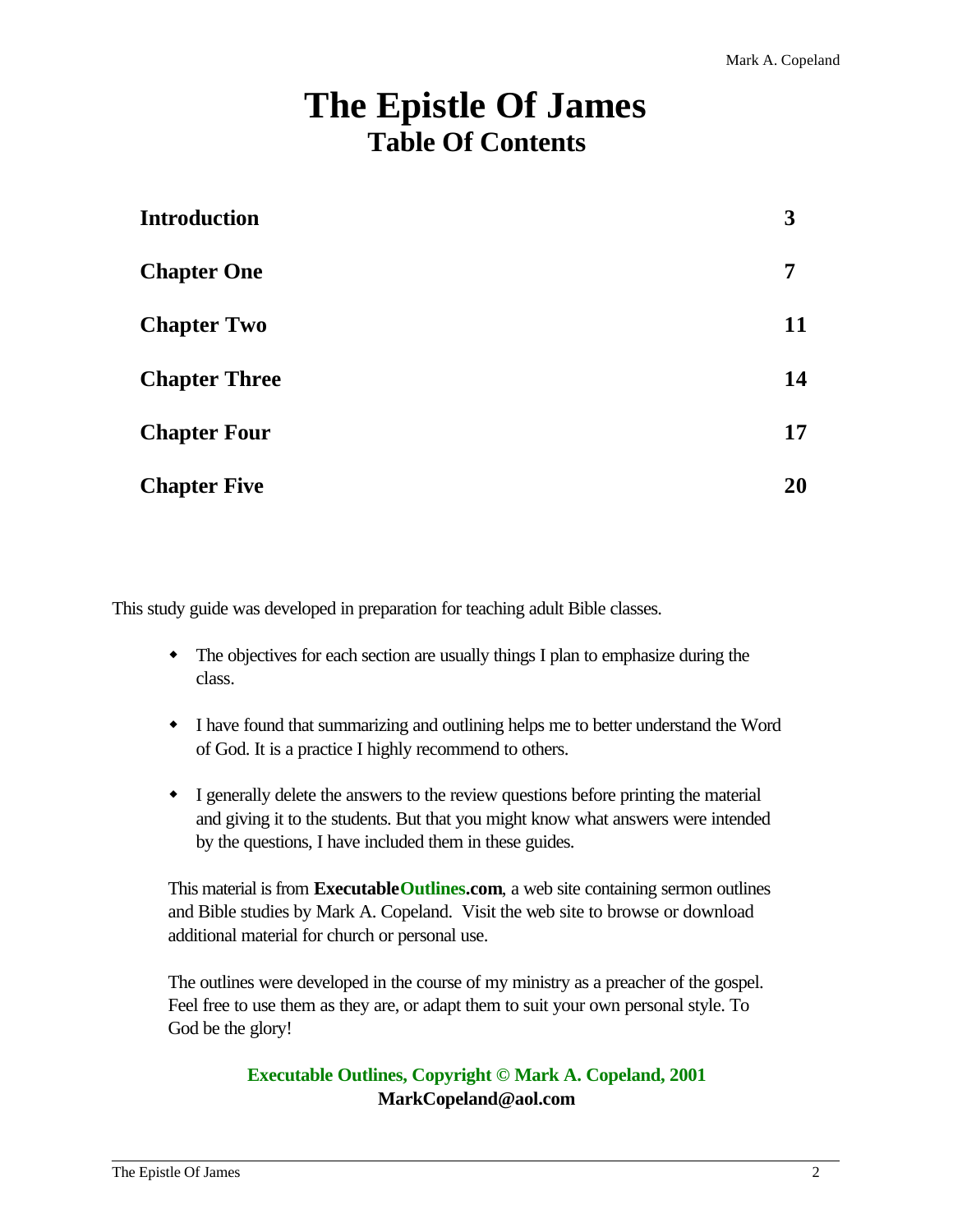# **The Epistle Of James Table Of Contents**

| <b>Introduction</b>  | 3  |
|----------------------|----|
| <b>Chapter One</b>   | 7  |
| <b>Chapter Two</b>   | 11 |
| <b>Chapter Three</b> | 14 |
| <b>Chapter Four</b>  | 17 |
| <b>Chapter Five</b>  | 20 |

This study guide was developed in preparation for teaching adult Bible classes.

- The objectives for each section are usually things I plan to emphasize during the class.
- w I have found that summarizing and outlining helps me to better understand the Word of God. It is a practice I highly recommend to others.
- I generally delete the answers to the review questions before printing the material and giving it to the students. But that you might know what answers were intended by the questions, I have included them in these guides.

This material is from **ExecutableOutlines.com**, a web site containing sermon outlines and Bible studies by Mark A. Copeland. Visit the web site to browse or download additional material for church or personal use.

The outlines were developed in the course of my ministry as a preacher of the gospel. Feel free to use them as they are, or adapt them to suit your own personal style. To God be the glory!

# **Executable Outlines, Copyright © Mark A. Copeland, 2001 MarkCopeland@aol.com**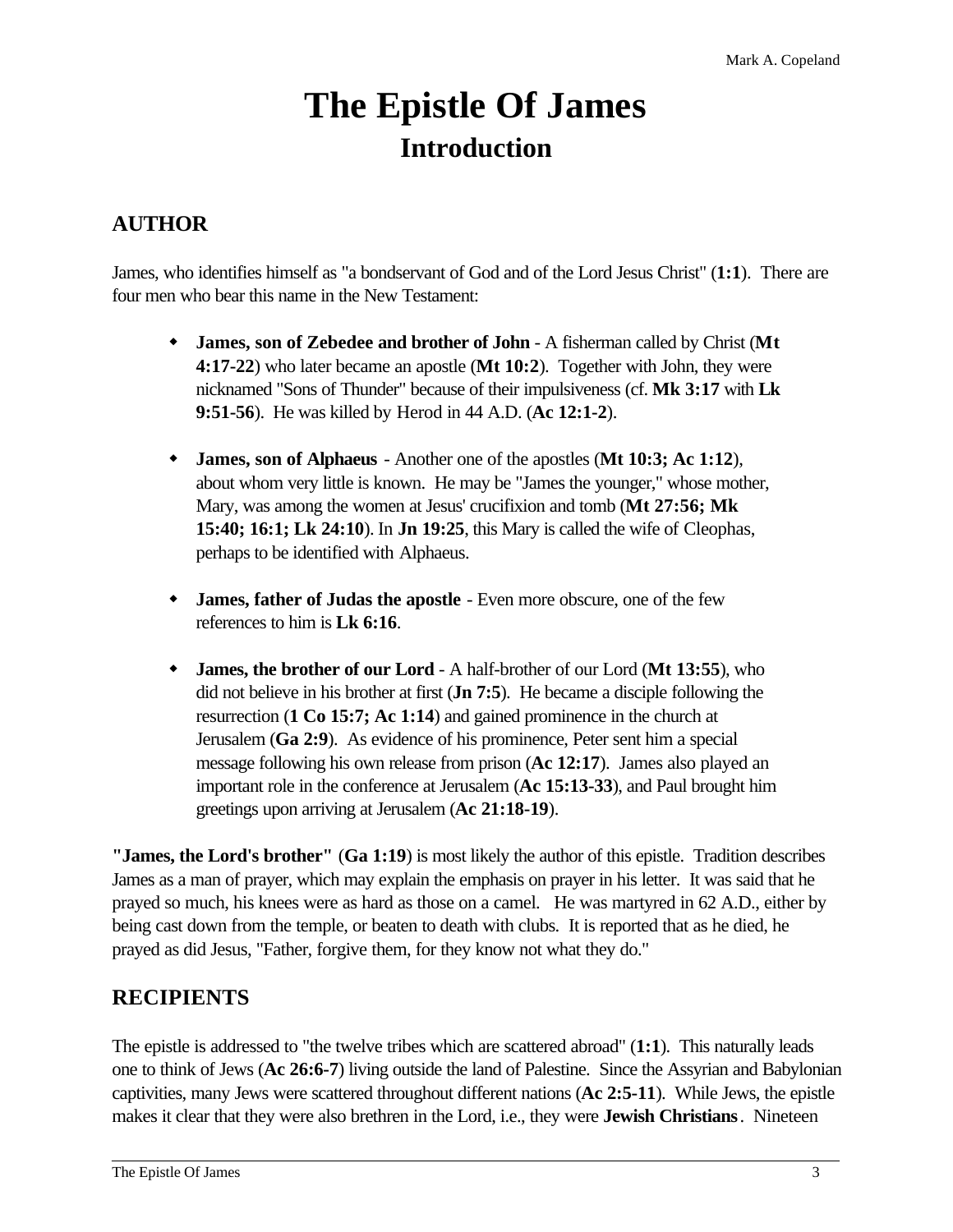# **The Epistle Of James Introduction**

# **AUTHOR**

James, who identifies himself as "a bondservant of God and of the Lord Jesus Christ" (**1:1**). There are four men who bear this name in the New Testament:

- w **James, son of Zebedee and brother of John** A fisherman called by Christ (**Mt 4:17-22**) who later became an apostle (**Mt 10:2**). Together with John, they were nicknamed "Sons of Thunder" because of their impulsiveness (cf. **Mk 3:17** with **Lk 9:51-56**). He was killed by Herod in 44 A.D. (**Ac 12:1-2**).
- w **James, son of Alphaeus** Another one of the apostles (**Mt 10:3; Ac 1:12**), about whom very little is known. He may be "James the younger," whose mother, Mary, was among the women at Jesus' crucifixion and tomb (**Mt 27:56; Mk 15:40; 16:1; Lk 24:10**). In **Jn 19:25**, this Mary is called the wife of Cleophas, perhaps to be identified with Alphaeus.
- w **James, father of Judas the apostle** Even more obscure, one of the few references to him is **Lk 6:16**.
- w **James, the brother of our Lord** A half-brother of our Lord (**Mt 13:55**), who did not believe in his brother at first (**Jn 7:5**). He became a disciple following the resurrection (**1 Co 15:7; Ac 1:14**) and gained prominence in the church at Jerusalem (**Ga 2:9**). As evidence of his prominence, Peter sent him a special message following his own release from prison (**Ac 12:17**). James also played an important role in the conference at Jerusalem (**Ac 15:13-33**), and Paul brought him greetings upon arriving at Jerusalem (**Ac 21:18-19**).

**"James, the Lord's brother"** (**Ga 1:19**) is most likely the author of this epistle. Tradition describes James as a man of prayer, which may explain the emphasis on prayer in his letter. It was said that he prayed so much, his knees were as hard as those on a camel. He was martyred in 62 A.D., either by being cast down from the temple, or beaten to death with clubs. It is reported that as he died, he prayed as did Jesus, "Father, forgive them, for they know not what they do."

# **RECIPIENTS**

The epistle is addressed to "the twelve tribes which are scattered abroad" (**1:1**). This naturally leads one to think of Jews (**Ac 26:6-7**) living outside the land of Palestine. Since the Assyrian and Babylonian captivities, many Jews were scattered throughout different nations (**Ac 2:5-11**). While Jews, the epistle makes it clear that they were also brethren in the Lord, i.e., they were **Jewish Christians**. Nineteen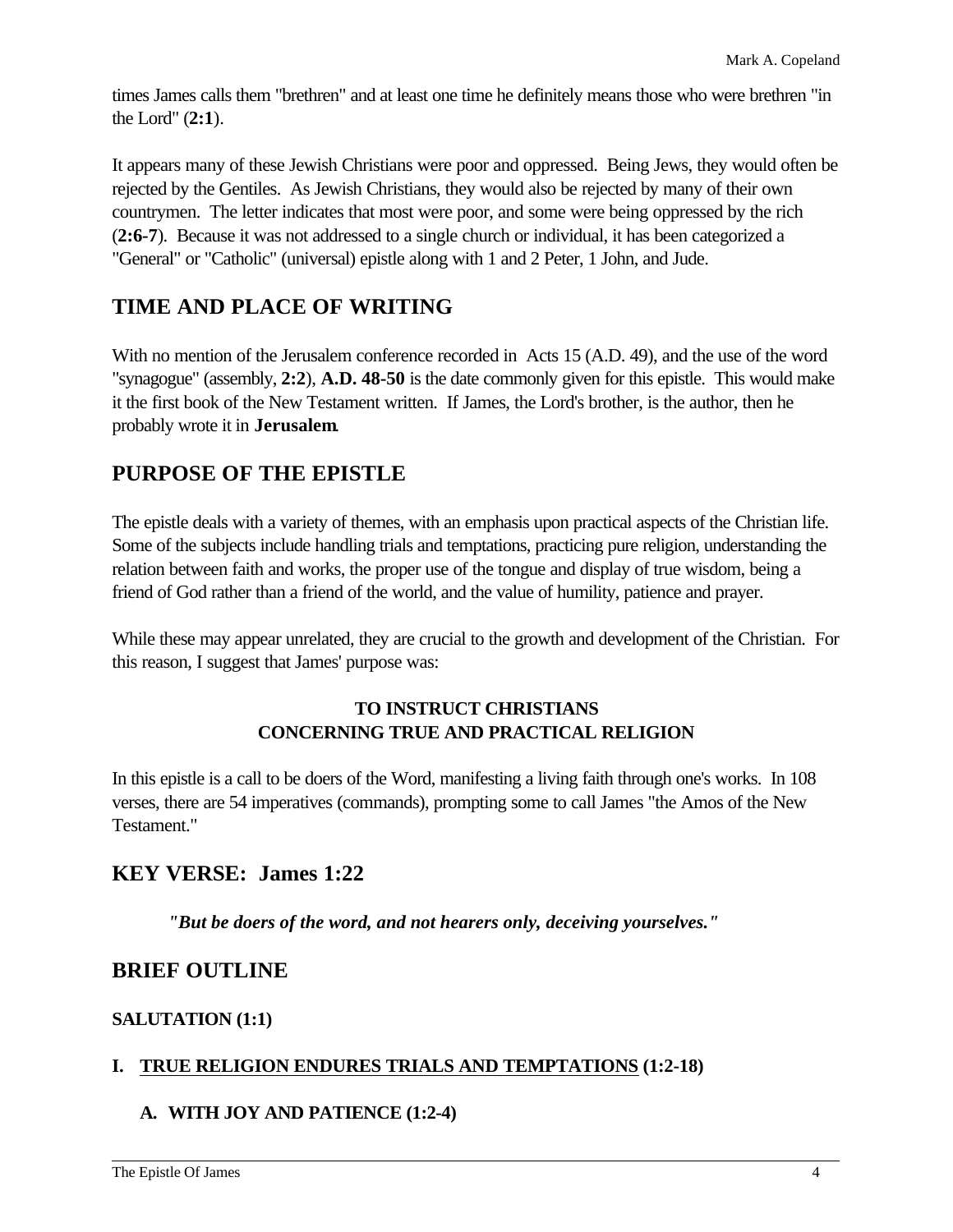times James calls them "brethren" and at least one time he definitely means those who were brethren "in the Lord" (**2:1**).

It appears many of these Jewish Christians were poor and oppressed. Being Jews, they would often be rejected by the Gentiles. As Jewish Christians, they would also be rejected by many of their own countrymen. The letter indicates that most were poor, and some were being oppressed by the rich (**2:6-7**). Because it was not addressed to a single church or individual, it has been categorized a "General" or "Catholic" (universal) epistle along with 1 and 2 Peter, 1 John, and Jude.

# **TIME AND PLACE OF WRITING**

With no mention of the Jerusalem conference recorded in Acts 15 (A.D. 49), and the use of the word "synagogue" (assembly, **2:2**), **A.D. 48-50** is the date commonly given for this epistle. This would make it the first book of the New Testament written. If James, the Lord's brother, is the author, then he probably wrote it in **Jerusalem**.

# **PURPOSE OF THE EPISTLE**

The epistle deals with a variety of themes, with an emphasis upon practical aspects of the Christian life. Some of the subjects include handling trials and temptations, practicing pure religion, understanding the relation between faith and works, the proper use of the tongue and display of true wisdom, being a friend of God rather than a friend of the world, and the value of humility, patience and prayer.

While these may appear unrelated, they are crucial to the growth and development of the Christian. For this reason, I suggest that James' purpose was:

# **TO INSTRUCT CHRISTIANS CONCERNING TRUE AND PRACTICAL RELIGION**

In this epistle is a call to be doers of the Word, manifesting a living faith through one's works. In 108 verses, there are 54 imperatives (commands), prompting some to call James "the Amos of the New Testament."

# **KEY VERSE: James 1:22**

*"But be doers of the word, and not hearers only, deceiving yourselves."*

# **BRIEF OUTLINE**

# **SALUTATION (1:1)**

# **I. TRUE RELIGION ENDURES TRIALS AND TEMPTATIONS (1:2-18)**

# **A. WITH JOY AND PATIENCE (1:2-4)**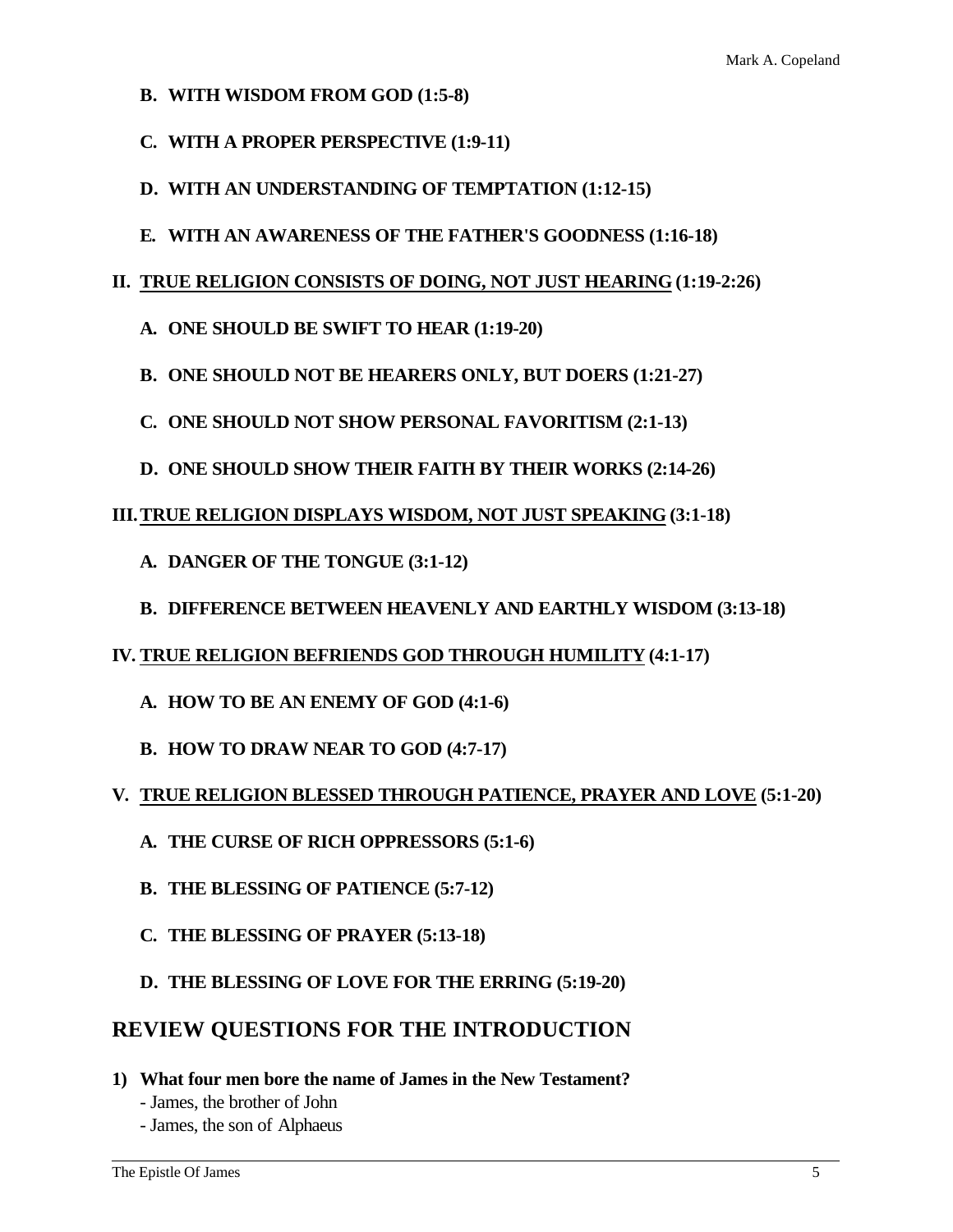- **B. WITH WISDOM FROM GOD (1:5-8)**
- **C. WITH A PROPER PERSPECTIVE (1:9-11)**
- **D. WITH AN UNDERSTANDING OF TEMPTATION (1:12-15)**
- **E. WITH AN AWARENESS OF THE FATHER'S GOODNESS (1:16-18)**

#### **II. TRUE RELIGION CONSISTS OF DOING, NOT JUST HEARING (1:19-2:26)**

- **A. ONE SHOULD BE SWIFT TO HEAR (1:19-20)**
- **B. ONE SHOULD NOT BE HEARERS ONLY, BUT DOERS (1:21-27)**
- **C. ONE SHOULD NOT SHOW PERSONAL FAVORITISM (2:1-13)**
- **D. ONE SHOULD SHOW THEIR FAITH BY THEIR WORKS (2:14-26)**

#### **III.TRUE RELIGION DISPLAYS WISDOM, NOT JUST SPEAKING (3:1-18)**

- **A. DANGER OF THE TONGUE (3:1-12)**
- **B. DIFFERENCE BETWEEN HEAVENLY AND EARTHLY WISDOM (3:13-18)**
- **IV. TRUE RELIGION BEFRIENDS GOD THROUGH HUMILITY (4:1-17)**
	- **A. HOW TO BE AN ENEMY OF GOD (4:1-6)**
	- **B. HOW TO DRAW NEAR TO GOD (4:7-17)**
- **V. TRUE RELIGION BLESSED THROUGH PATIENCE, PRAYER AND LOVE (5:1-20)**
	- **A. THE CURSE OF RICH OPPRESSORS (5:1-6)**
	- **B. THE BLESSING OF PATIENCE (5:7-12)**
	- **C. THE BLESSING OF PRAYER (5:13-18)**
	- **D. THE BLESSING OF LOVE FOR THE ERRING (5:19-20)**

# **REVIEW QUESTIONS FOR THE INTRODUCTION**

- **1) What four men bore the name of James in the New Testament?**
	- James, the brother of John
	- James, the son of Alphaeus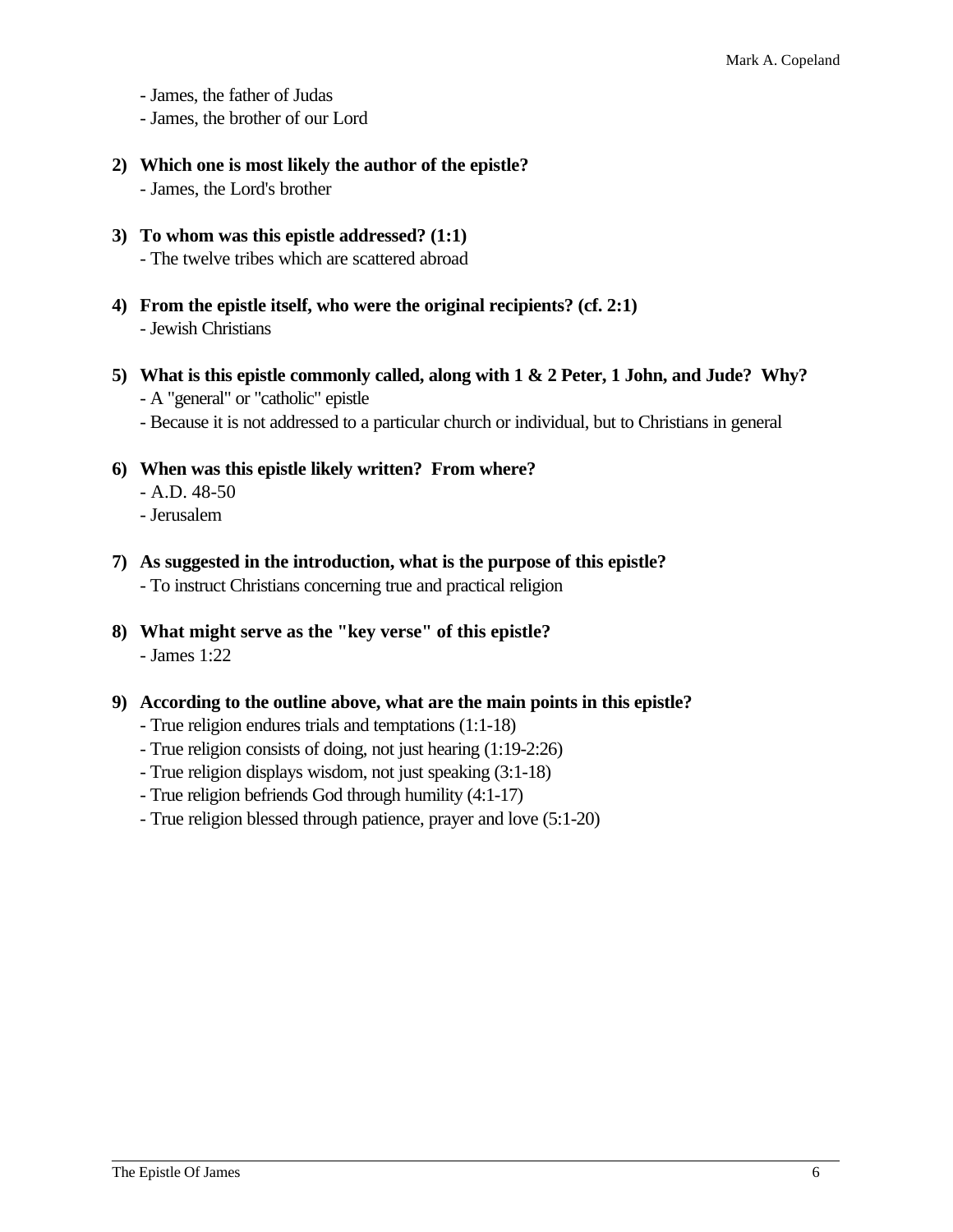- James, the father of Judas

- James, the brother of our Lord
- **2) Which one is most likely the author of the epistle?** - James, the Lord's brother
- **3) To whom was this epistle addressed? (1:1)** - The twelve tribes which are scattered abroad
- **4) From the epistle itself, who were the original recipients? (cf. 2:1)** - Jewish Christians
- **5) What is this epistle commonly called, along with 1 & 2 Peter, 1 John, and Jude? Why?** - A "general" or "catholic" epistle
	- Because it is not addressed to a particular church or individual, but to Christians in general
- **6) When was this epistle likely written? From where?** - A.D. 48-50
	- Jerusalem
- **7) As suggested in the introduction, what is the purpose of this epistle?** - To instruct Christians concerning true and practical religion
- **8) What might serve as the "key verse" of this epistle?** - James 1:22
- **9) According to the outline above, what are the main points in this epistle?**
	- True religion endures trials and temptations (1:1-18)
	- True religion consists of doing, not just hearing (1:19-2:26)
	- True religion displays wisdom, not just speaking (3:1-18)
	- True religion befriends God through humility (4:1-17)
	- True religion blessed through patience, prayer and love (5:1-20)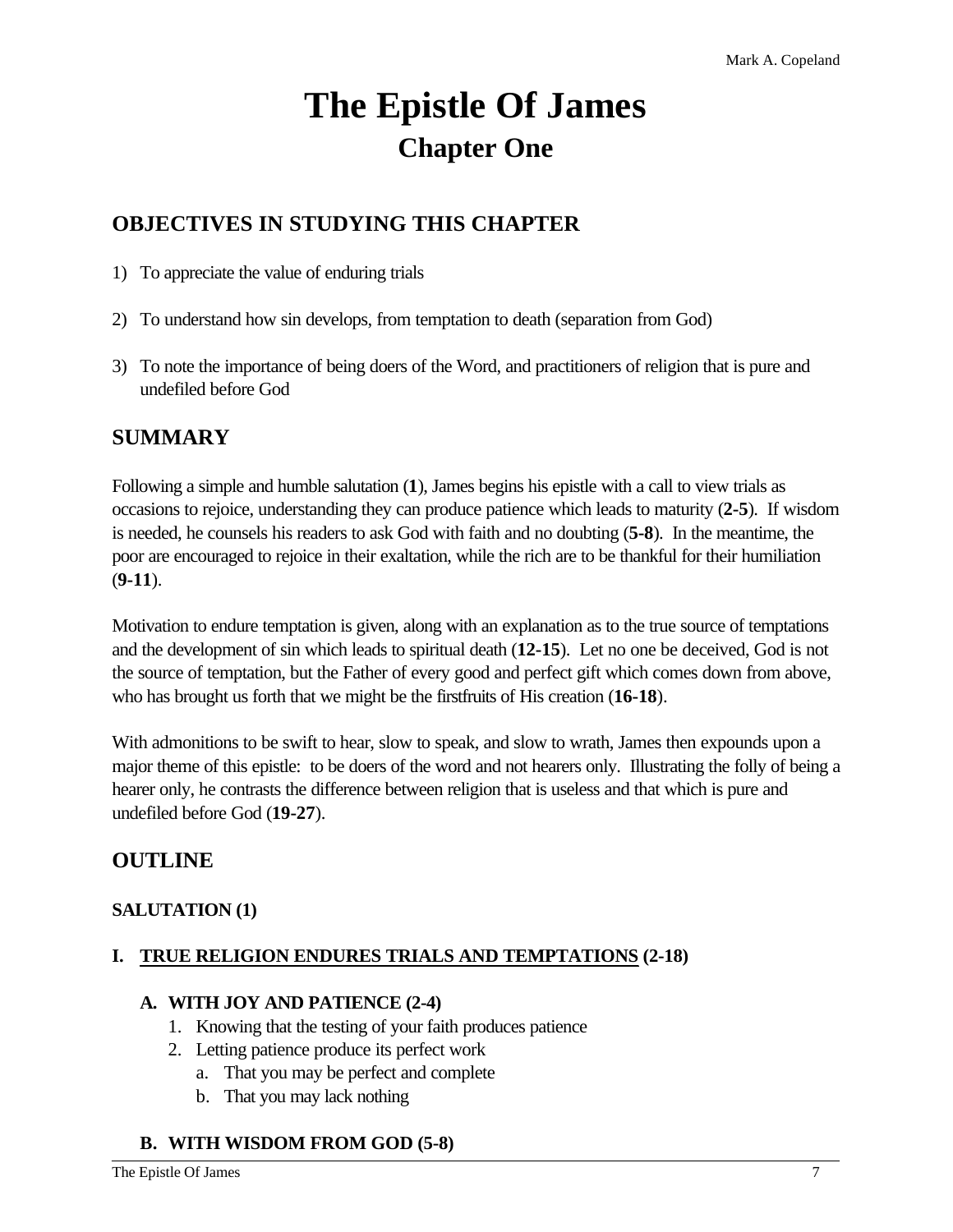# **The Epistle Of James Chapter One**

# **OBJECTIVES IN STUDYING THIS CHAPTER**

- 1) To appreciate the value of enduring trials
- 2) To understand how sin develops, from temptation to death (separation from God)
- 3) To note the importance of being doers of the Word, and practitioners of religion that is pure and undefiled before God

# **SUMMARY**

Following a simple and humble salutation (**1**), James begins his epistle with a call to view trials as occasions to rejoice, understanding they can produce patience which leads to maturity (**2-5**). If wisdom is needed, he counsels his readers to ask God with faith and no doubting (**5-8**). In the meantime, the poor are encouraged to rejoice in their exaltation, while the rich are to be thankful for their humiliation (**9-11**).

Motivation to endure temptation is given, along with an explanation as to the true source of temptations and the development of sin which leads to spiritual death (**12-15**). Let no one be deceived, God is not the source of temptation, but the Father of every good and perfect gift which comes down from above, who has brought us forth that we might be the firstfruits of His creation (**16-18**).

With admonitions to be swift to hear, slow to speak, and slow to wrath, James then expounds upon a major theme of this epistle: to be doers of the word and not hearers only. Illustrating the folly of being a hearer only, he contrasts the difference between religion that is useless and that which is pure and undefiled before God (**19-27**).

# **OUTLINE**

# **SALUTATION (1)**

# **I. TRUE RELIGION ENDURES TRIALS AND TEMPTATIONS (2-18)**

# **A. WITH JOY AND PATIENCE (2-4)**

- 1. Knowing that the testing of your faith produces patience
- 2. Letting patience produce its perfect work
	- a. That you may be perfect and complete
		- b. That you may lack nothing

# **B. WITH WISDOM FROM GOD (5-8)**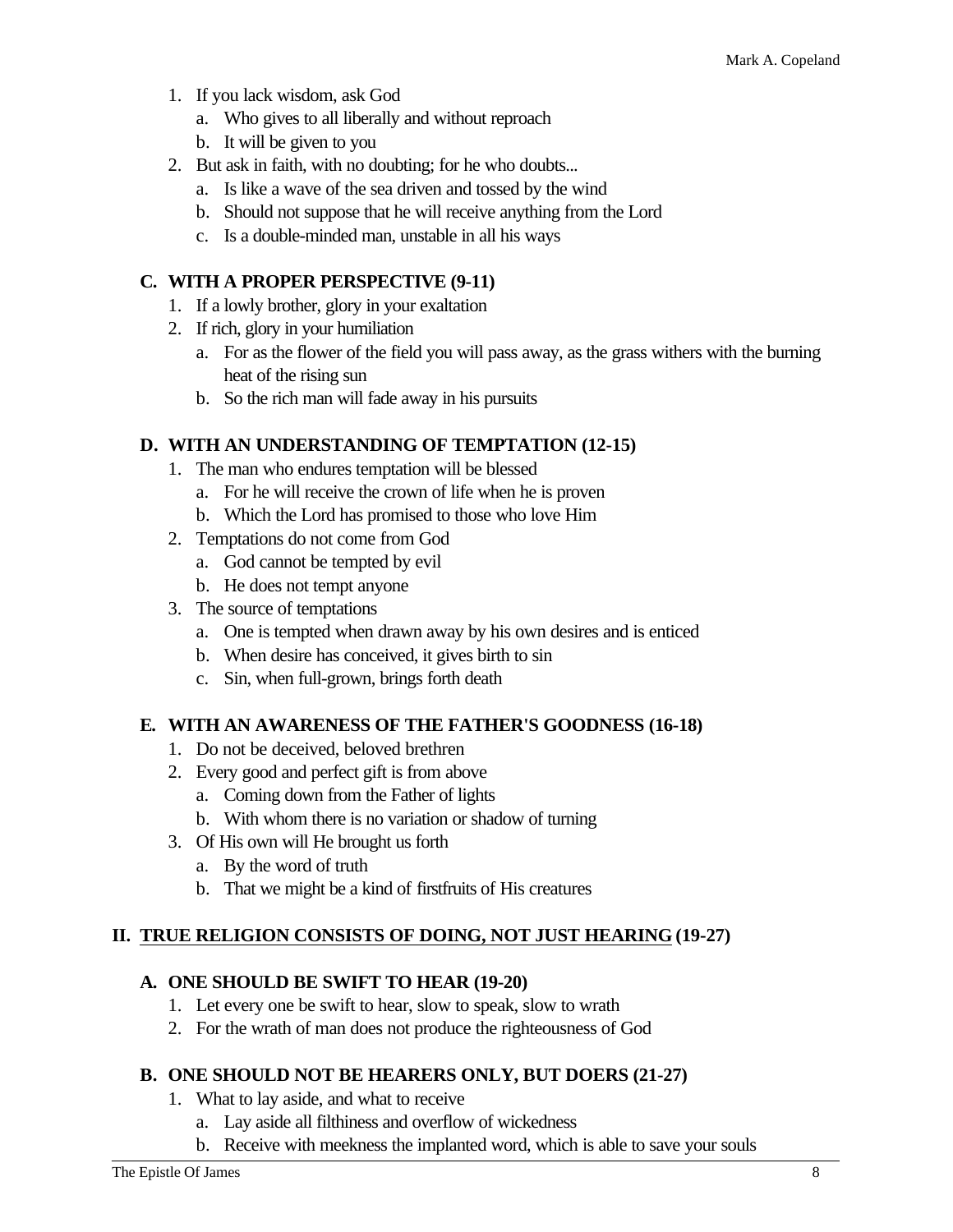- 1. If you lack wisdom, ask God
	- a. Who gives to all liberally and without reproach
	- b. It will be given to you
- 2. But ask in faith, with no doubting; for he who doubts...
	- a. Is like a wave of the sea driven and tossed by the wind
	- b. Should not suppose that he will receive anything from the Lord
	- c. Is a double-minded man, unstable in all his ways

# **C. WITH A PROPER PERSPECTIVE (9-11)**

- 1. If a lowly brother, glory in your exaltation
- 2. If rich, glory in your humiliation
	- a. For as the flower of the field you will pass away, as the grass withers with the burning heat of the rising sun
	- b. So the rich man will fade away in his pursuits

# **D. WITH AN UNDERSTANDING OF TEMPTATION (12-15)**

- 1. The man who endures temptation will be blessed
	- a. For he will receive the crown of life when he is proven
	- b. Which the Lord has promised to those who love Him
- 2. Temptations do not come from God
	- a. God cannot be tempted by evil
	- b. He does not tempt anyone
- 3. The source of temptations
	- a. One is tempted when drawn away by his own desires and is enticed
	- b. When desire has conceived, it gives birth to sin
	- c. Sin, when full-grown, brings forth death

# **E. WITH AN AWARENESS OF THE FATHER'S GOODNESS (16-18)**

- 1. Do not be deceived, beloved brethren
- 2. Every good and perfect gift is from above
	- a. Coming down from the Father of lights
	- b. With whom there is no variation or shadow of turning
- 3. Of His own will He brought us forth
	- a. By the word of truth
	- b. That we might be a kind of firstfruits of His creatures

# **II. TRUE RELIGION CONSISTS OF DOING, NOT JUST HEARING (19-27)**

# **A. ONE SHOULD BE SWIFT TO HEAR (19-20)**

- 1. Let every one be swift to hear, slow to speak, slow to wrath
- 2. For the wrath of man does not produce the righteousness of God

# **B. ONE SHOULD NOT BE HEARERS ONLY, BUT DOERS (21-27)**

- 1. What to lay aside, and what to receive
	- a. Lay aside all filthiness and overflow of wickedness
	- b. Receive with meekness the implanted word, which is able to save your souls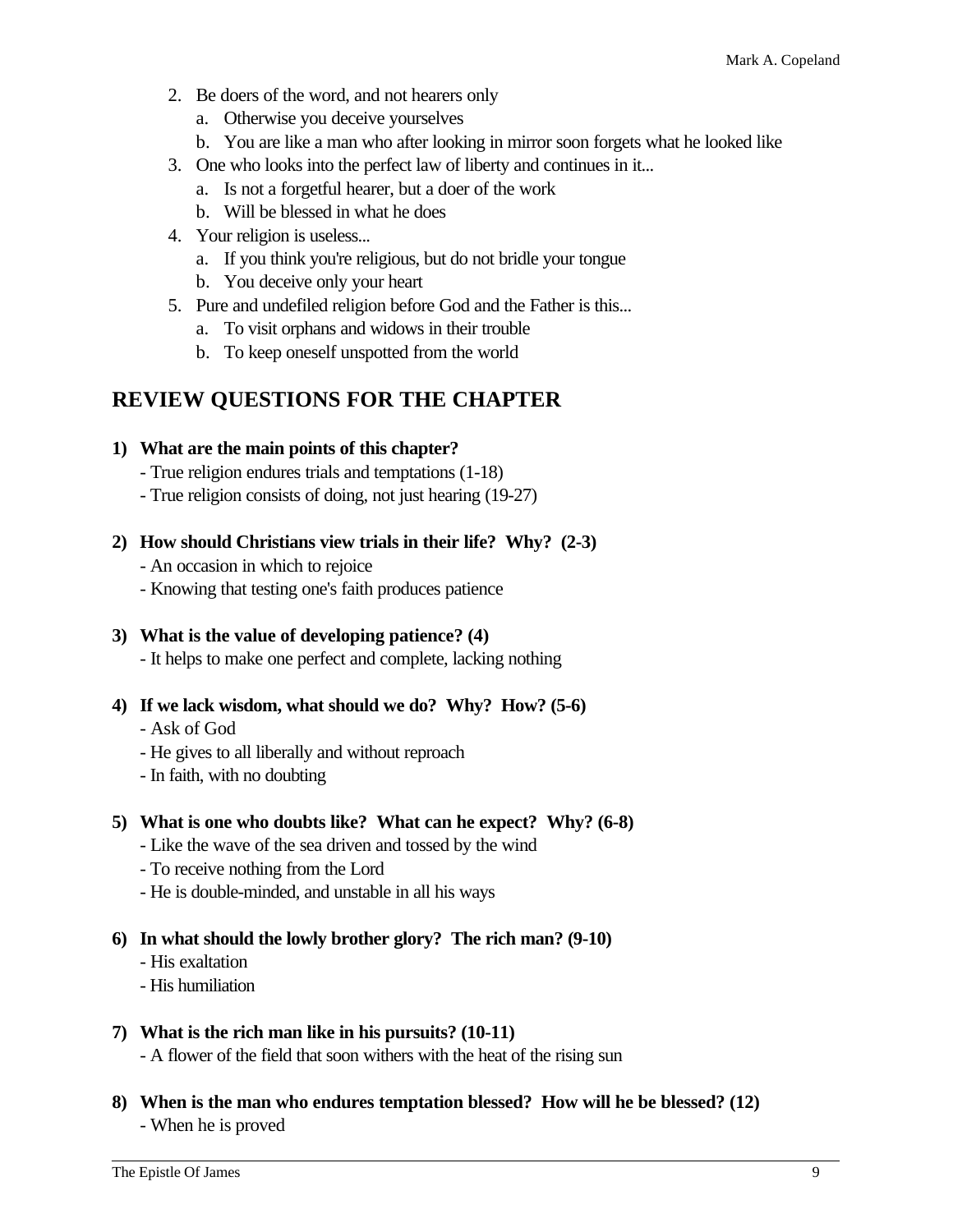- 2. Be doers of the word, and not hearers only
	- a. Otherwise you deceive yourselves
	- b. You are like a man who after looking in mirror soon forgets what he looked like
- 3. One who looks into the perfect law of liberty and continues in it...
	- a. Is not a forgetful hearer, but a doer of the work
	- b. Will be blessed in what he does
- 4. Your religion is useless...
	- a. If you think you're religious, but do not bridle your tongue
	- b. You deceive only your heart
- 5. Pure and undefiled religion before God and the Father is this...
	- a. To visit orphans and widows in their trouble
	- b. To keep oneself unspotted from the world

# **REVIEW QUESTIONS FOR THE CHAPTER**

#### **1) What are the main points of this chapter?**

- True religion endures trials and temptations (1-18)
- True religion consists of doing, not just hearing (19-27)
- **2) How should Christians view trials in their life? Why? (2-3)**
	- An occasion in which to rejoice
	- Knowing that testing one's faith produces patience

# **3) What is the value of developing patience? (4)**

- It helps to make one perfect and complete, lacking nothing

- **4) If we lack wisdom, what should we do? Why? How? (5-6)**
	- Ask of God
	- He gives to all liberally and without reproach
	- In faith, with no doubting

# **5) What is one who doubts like? What can he expect? Why? (6-8)**

- Like the wave of the sea driven and tossed by the wind
- To receive nothing from the Lord
- He is double-minded, and unstable in all his ways

# **6) In what should the lowly brother glory? The rich man? (9-10)**

- His exaltation
- His humiliation

# **7) What is the rich man like in his pursuits? (10-11)**

- A flower of the field that soon withers with the heat of the rising sun

**8) When is the man who endures temptation blessed? How will he be blessed? (12)** - When he is proved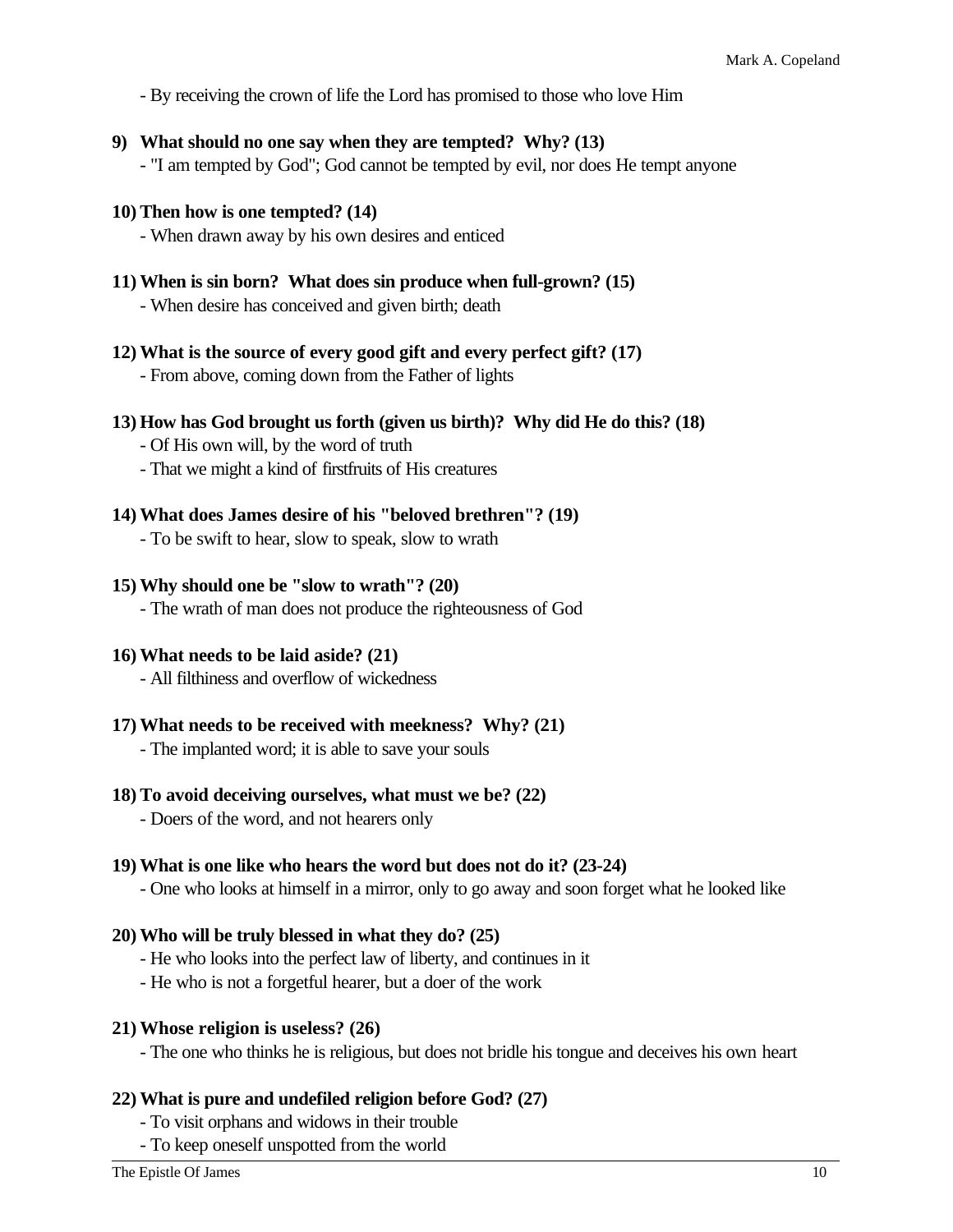- By receiving the crown of life the Lord has promised to those who love Him

**9) What should no one say when they are tempted? Why? (13)**

- "I am tempted by God"; God cannot be tempted by evil, nor does He tempt anyone

#### **10) Then how is one tempted? (14)**

- When drawn away by his own desires and enticed

- **11) When is sin born? What does sin produce when full-grown? (15)** - When desire has conceived and given birth; death
- **12) What is the source of every good gift and every perfect gift? (17)** - From above, coming down from the Father of lights

#### **13) How has God brought us forth (given us birth)? Why did He do this? (18)**

- Of His own will, by the word of truth
- That we might a kind of firstfruits of His creatures
- **14) What does James desire of his "beloved brethren"? (19)**
	- To be swift to hear, slow to speak, slow to wrath

#### **15) Why should one be "slow to wrath"? (20)**

- The wrath of man does not produce the righteousness of God

# **16) What needs to be laid aside? (21)**

- All filthiness and overflow of wickedness

# **17) What needs to be received with meekness? Why? (21)**

- The implanted word; it is able to save your souls

# **18) To avoid deceiving ourselves, what must we be? (22)**

- Doers of the word, and not hearers only

# **19) What is one like who hears the word but does not do it? (23-24)**

- One who looks at himself in a mirror, only to go away and soon forget what he looked like

#### **20) Who will be truly blessed in what they do? (25)**

- He who looks into the perfect law of liberty, and continues in it
- He who is not a forgetful hearer, but a doer of the work

#### **21) Whose religion is useless? (26)**

- The one who thinks he is religious, but does not bridle his tongue and deceives his own heart

# **22) What is pure and undefiled religion before God? (27)**

- To visit orphans and widows in their trouble
- To keep oneself unspotted from the world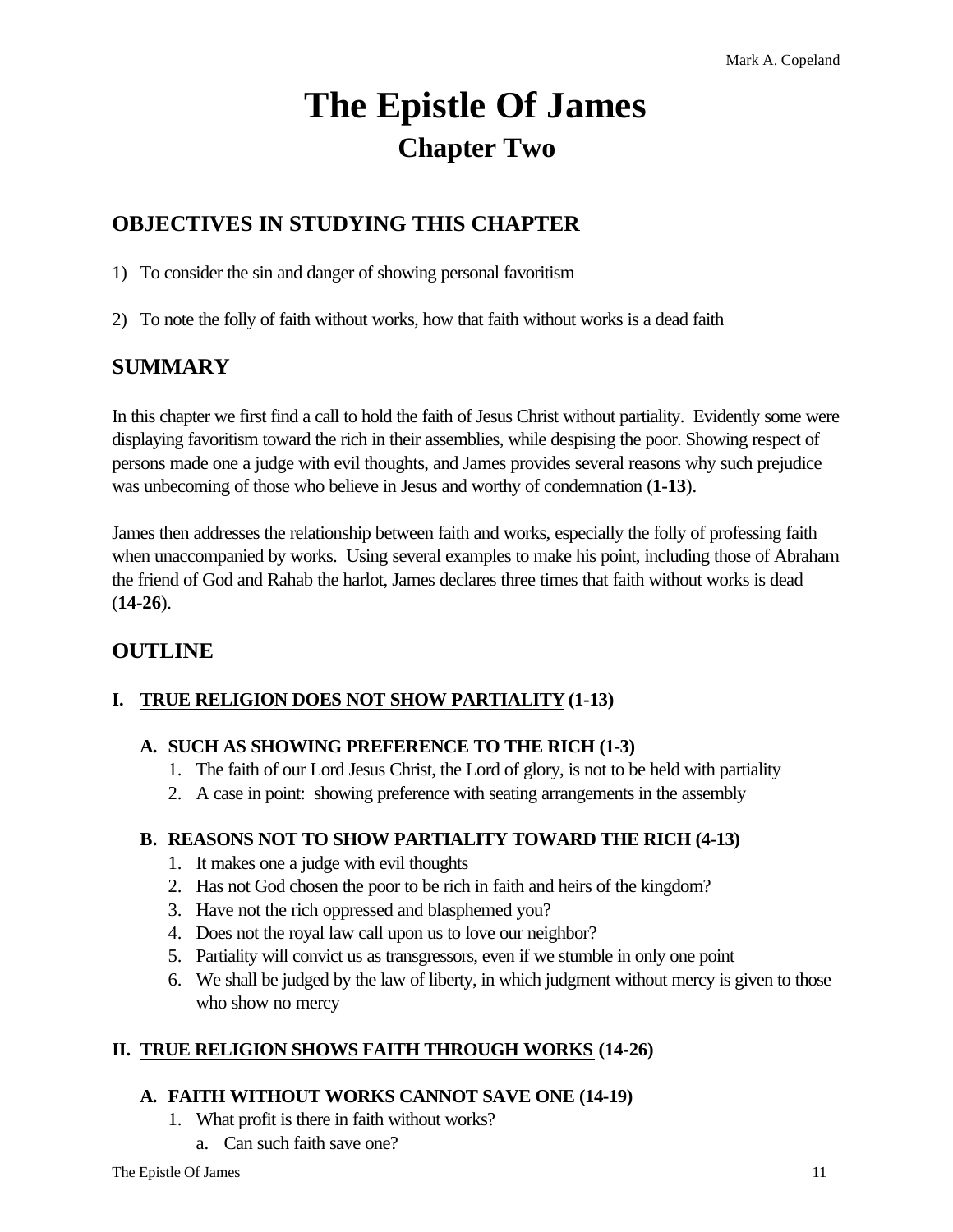# **The Epistle Of James Chapter Two**

# **OBJECTIVES IN STUDYING THIS CHAPTER**

1) To consider the sin and danger of showing personal favoritism

2) To note the folly of faith without works, how that faith without works is a dead faith

# **SUMMARY**

In this chapter we first find a call to hold the faith of Jesus Christ without partiality. Evidently some were displaying favoritism toward the rich in their assemblies, while despising the poor. Showing respect of persons made one a judge with evil thoughts, and James provides several reasons why such prejudice was unbecoming of those who believe in Jesus and worthy of condemnation (**1-13**).

James then addresses the relationship between faith and works, especially the folly of professing faith when unaccompanied by works. Using several examples to make his point, including those of Abraham the friend of God and Rahab the harlot, James declares three times that faith without works is dead (**14-26**).

# **OUTLINE**

# **I. TRUE RELIGION DOES NOT SHOW PARTIALITY (1-13)**

# **A. SUCH AS SHOWING PREFERENCE TO THE RICH (1-3)**

- 1. The faith of our Lord Jesus Christ, the Lord of glory, is not to be held with partiality
- 2. A case in point: showing preference with seating arrangements in the assembly

# **B. REASONS NOT TO SHOW PARTIALITY TOWARD THE RICH (4-13)**

- 1. It makes one a judge with evil thoughts
- 2. Has not God chosen the poor to be rich in faith and heirs of the kingdom?
- 3. Have not the rich oppressed and blasphemed you?
- 4. Does not the royal law call upon us to love our neighbor?
- 5. Partiality will convict us as transgressors, even if we stumble in only one point
- 6. We shall be judged by the law of liberty, in which judgment without mercy is given to those who show no mercy

# **II. TRUE RELIGION SHOWS FAITH THROUGH WORKS (14-26)**

# **A. FAITH WITHOUT WORKS CANNOT SAVE ONE (14-19)**

- 1. What profit is there in faith without works?
	- a. Can such faith save one?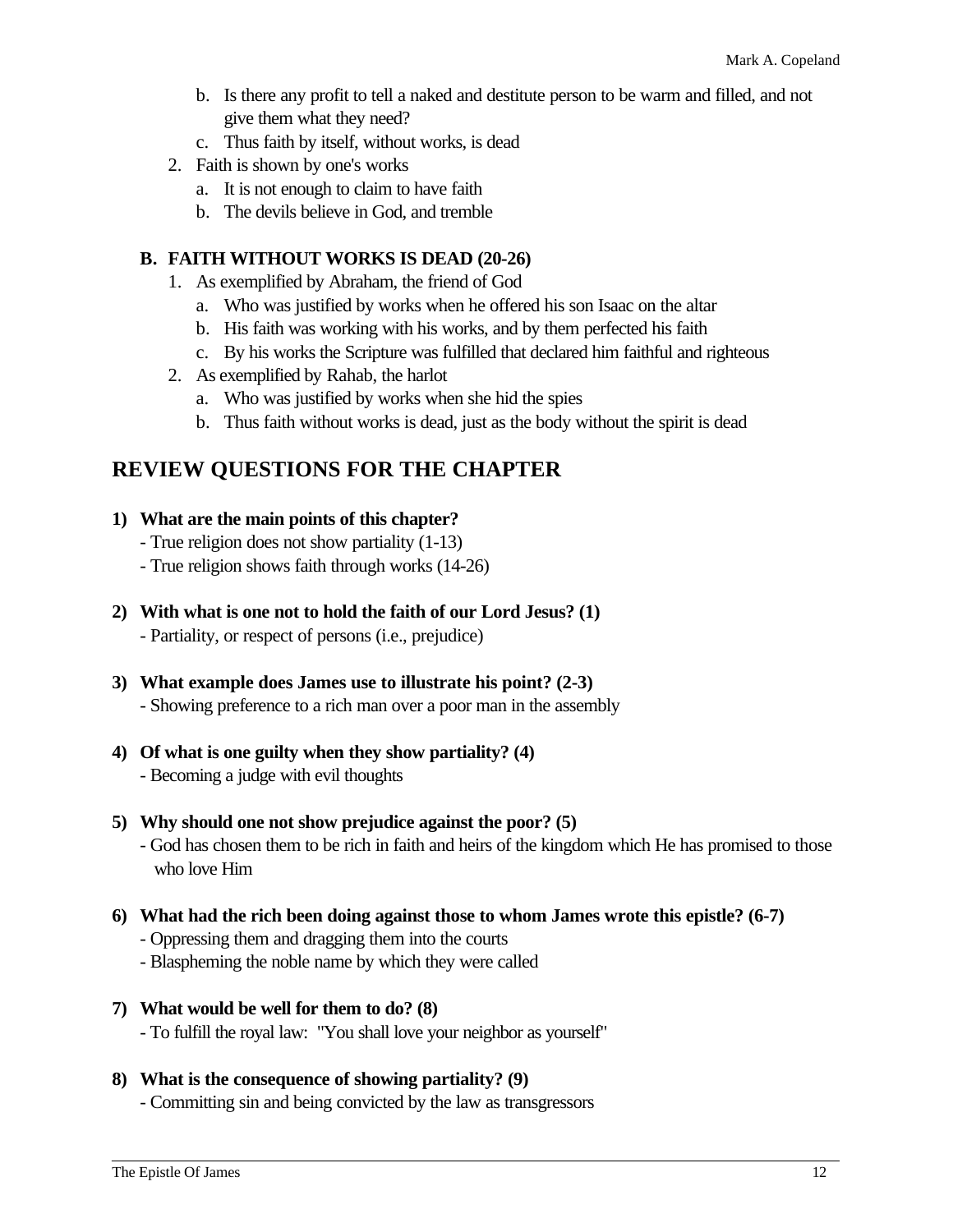- b. Is there any profit to tell a naked and destitute person to be warm and filled, and not give them what they need?
- c. Thus faith by itself, without works, is dead
- 2. Faith is shown by one's works
	- a. It is not enough to claim to have faith
	- b. The devils believe in God, and tremble

#### **B. FAITH WITHOUT WORKS IS DEAD (20-26)**

- 1. As exemplified by Abraham, the friend of God
	- a. Who was justified by works when he offered his son Isaac on the altar
	- b. His faith was working with his works, and by them perfected his faith
	- c. By his works the Scripture was fulfilled that declared him faithful and righteous
- 2. As exemplified by Rahab, the harlot
	- a. Who was justified by works when she hid the spies
	- b. Thus faith without works is dead, just as the body without the spirit is dead

# **REVIEW QUESTIONS FOR THE CHAPTER**

#### **1) What are the main points of this chapter?**

- True religion does not show partiality (1-13)
- True religion shows faith through works (14-26)
- **2) With what is one not to hold the faith of our Lord Jesus? (1)**
	- Partiality, or respect of persons (i.e., prejudice)
- **3) What example does James use to illustrate his point? (2-3)** - Showing preference to a rich man over a poor man in the assembly
- **4) Of what is one guilty when they show partiality? (4)** - Becoming a judge with evil thoughts
- **5) Why should one not show prejudice against the poor? (5)** - God has chosen them to be rich in faith and heirs of the kingdom which He has promised to those who love Him
- **6) What had the rich been doing against those to whom James wrote this epistle? (6-7)** - Oppressing them and dragging them into the courts
	- Blaspheming the noble name by which they were called
- **7) What would be well for them to do? (8)** - To fulfill the royal law: "You shall love your neighbor as yourself"
- **8) What is the consequence of showing partiality? (9)** - Committing sin and being convicted by the law as transgressors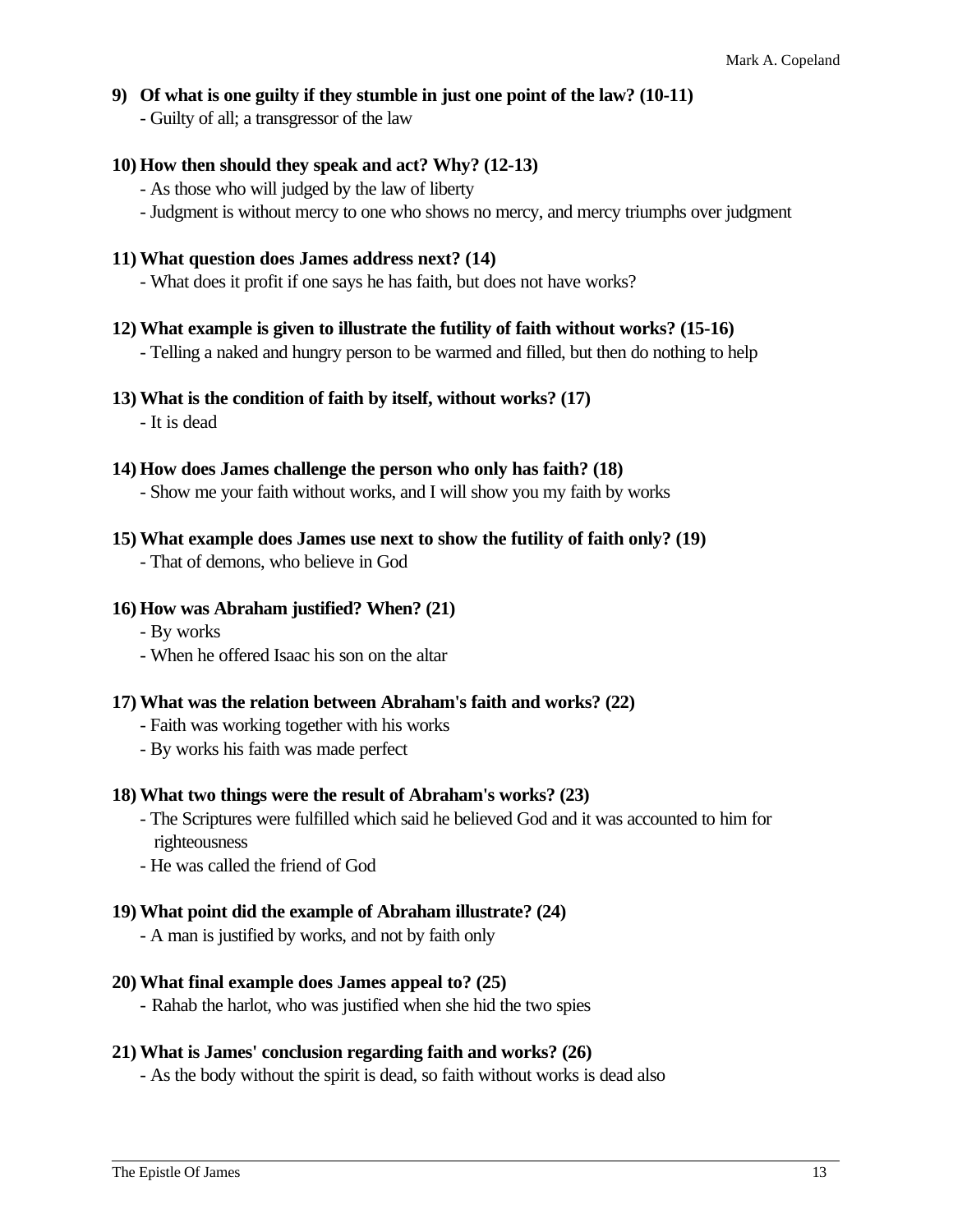#### **9) Of what is one guilty if they stumble in just one point of the law? (10-11)**

- Guilty of all; a transgressor of the law

#### **10) How then should they speak and act? Why? (12-13)**

- As those who will judged by the law of liberty
- Judgment is without mercy to one who shows no mercy, and mercy triumphs over judgment

#### **11) What question does James address next? (14)**

- What does it profit if one says he has faith, but does not have works?

#### **12) What example is given to illustrate the futility of faith without works? (15-16)**

- Telling a naked and hungry person to be warmed and filled, but then do nothing to help

#### **13) What is the condition of faith by itself, without works? (17)**

- It is dead

#### **14) How does James challenge the person who only has faith? (18)**

- Show me your faith without works, and I will show you my faith by works

#### **15) What example does James use next to show the futility of faith only? (19)**

- That of demons, who believe in God

#### **16) How was Abraham justified? When? (21)**

- By works
- When he offered Isaac his son on the altar

#### **17) What was the relation between Abraham's faith and works? (22)**

- Faith was working together with his works
- By works his faith was made perfect

#### **18) What two things were the result of Abraham's works? (23)**

- The Scriptures were fulfilled which said he believed God and it was accounted to him for righteousness

- He was called the friend of God

#### **19) What point did the example of Abraham illustrate? (24)**

- A man is justified by works, and not by faith only

#### **20) What final example does James appeal to? (25)**

- Rahab the harlot, who was justified when she hid the two spies

#### **21) What is James' conclusion regarding faith and works? (26)**

- As the body without the spirit is dead, so faith without works is dead also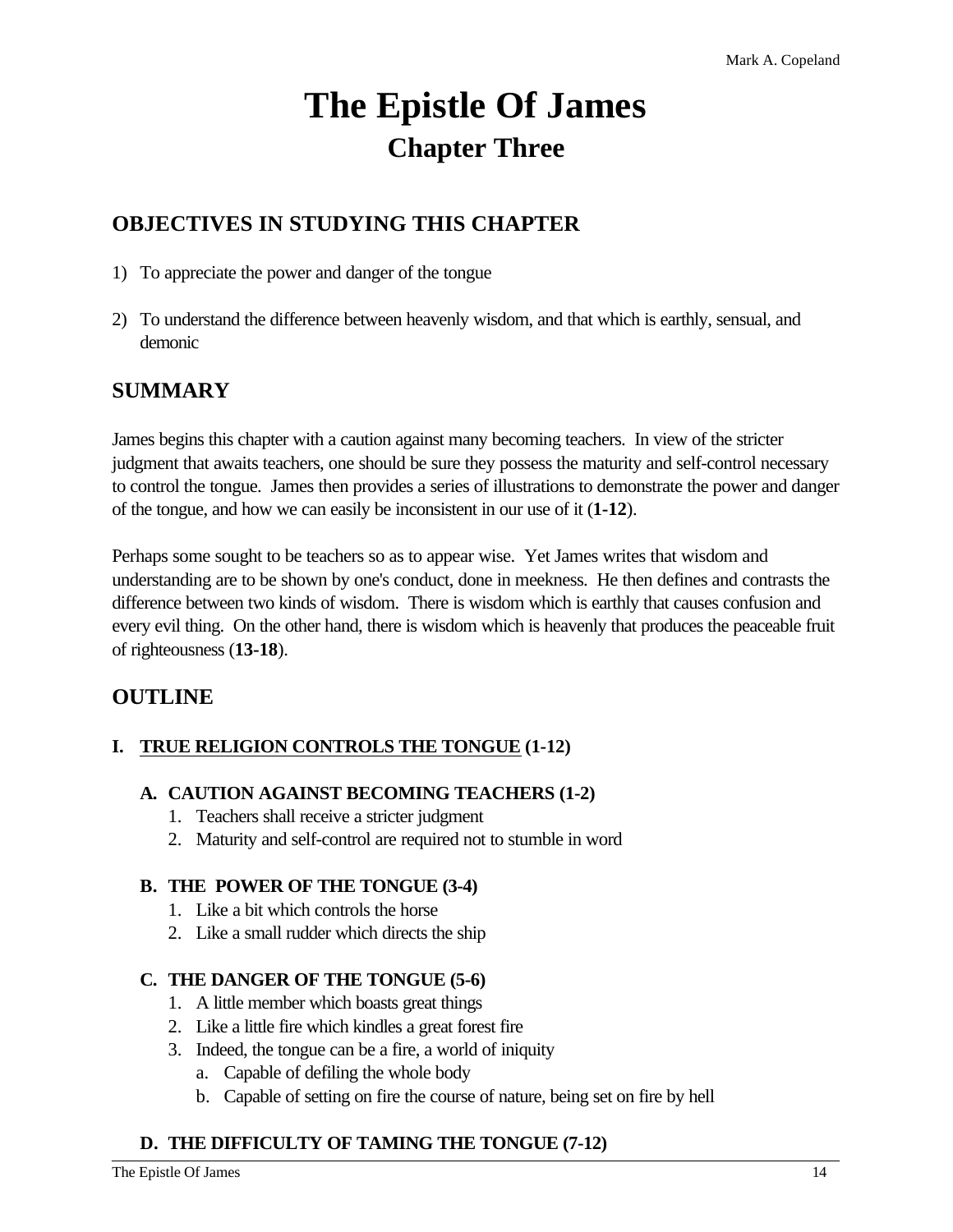# **The Epistle Of James Chapter Three**

# **OBJECTIVES IN STUDYING THIS CHAPTER**

- 1) To appreciate the power and danger of the tongue
- 2) To understand the difference between heavenly wisdom, and that which is earthly, sensual, and demonic

# **SUMMARY**

James begins this chapter with a caution against many becoming teachers. In view of the stricter judgment that awaits teachers, one should be sure they possess the maturity and self-control necessary to control the tongue. James then provides a series of illustrations to demonstrate the power and danger of the tongue, and how we can easily be inconsistent in our use of it (**1-12**).

Perhaps some sought to be teachers so as to appear wise. Yet James writes that wisdom and understanding are to be shown by one's conduct, done in meekness. He then defines and contrasts the difference between two kinds of wisdom. There is wisdom which is earthly that causes confusion and every evil thing. On the other hand, there is wisdom which is heavenly that produces the peaceable fruit of righteousness (**13-18**).

# **OUTLINE**

# **I. TRUE RELIGION CONTROLS THE TONGUE (1-12)**

# **A. CAUTION AGAINST BECOMING TEACHERS (1-2)**

- 1. Teachers shall receive a stricter judgment
- 2. Maturity and self-control are required not to stumble in word

# **B. THE POWER OF THE TONGUE (3-4)**

- 1. Like a bit which controls the horse
- 2. Like a small rudder which directs the ship

# **C. THE DANGER OF THE TONGUE (5-6)**

- 1. A little member which boasts great things
- 2. Like a little fire which kindles a great forest fire
- 3. Indeed, the tongue can be a fire, a world of iniquity
	- a. Capable of defiling the whole body
	- b. Capable of setting on fire the course of nature, being set on fire by hell

# **D. THE DIFFICULTY OF TAMING THE TONGUE (7-12)**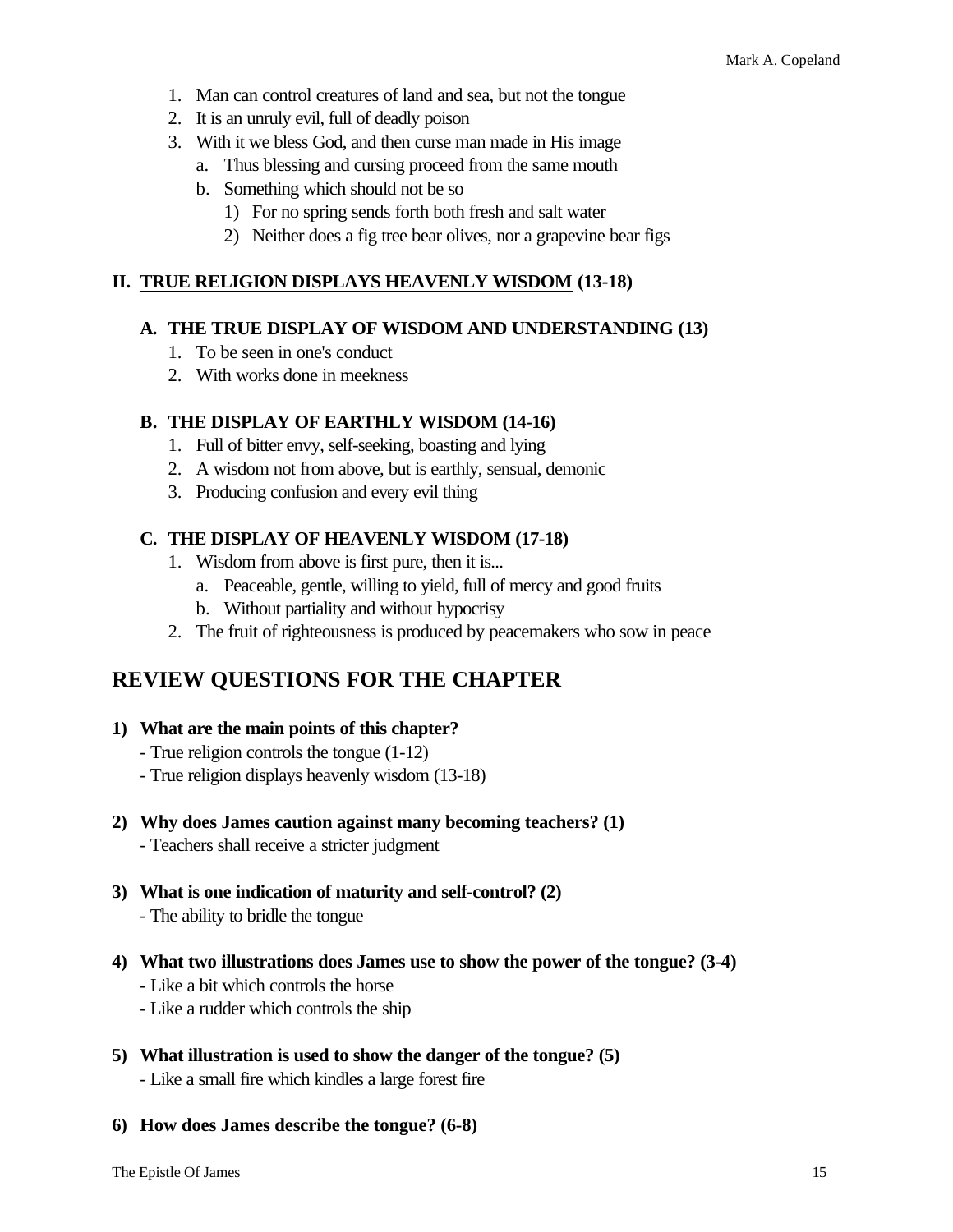- 1. Man can control creatures of land and sea, but not the tongue
- 2. It is an unruly evil, full of deadly poison
- 3. With it we bless God, and then curse man made in His image
	- a. Thus blessing and cursing proceed from the same mouth
	- b. Something which should not be so
		- 1) For no spring sends forth both fresh and salt water
		- 2) Neither does a fig tree bear olives, nor a grapevine bear figs

#### **II. TRUE RELIGION DISPLAYS HEAVENLY WISDOM (13-18)**

#### **A. THE TRUE DISPLAY OF WISDOM AND UNDERSTANDING (13)**

- 1. To be seen in one's conduct
- 2. With works done in meekness

#### **B. THE DISPLAY OF EARTHLY WISDOM (14-16)**

- 1. Full of bitter envy, self-seeking, boasting and lying
- 2. A wisdom not from above, but is earthly, sensual, demonic
- 3. Producing confusion and every evil thing

#### **C. THE DISPLAY OF HEAVENLY WISDOM (17-18)**

- 1. Wisdom from above is first pure, then it is...
	- a. Peaceable, gentle, willing to yield, full of mercy and good fruits
	- b. Without partiality and without hypocrisy
- 2. The fruit of righteousness is produced by peacemakers who sow in peace

# **REVIEW QUESTIONS FOR THE CHAPTER**

- **1) What are the main points of this chapter?**
	- True religion controls the tongue (1-12)
	- True religion displays heavenly wisdom (13-18)
- **2) Why does James caution against many becoming teachers? (1)**
	- Teachers shall receive a stricter judgment
- **3) What is one indication of maturity and self-control? (2)** - The ability to bridle the tongue
- **4) What two illustrations does James use to show the power of the tongue? (3-4)**
	- Like a bit which controls the horse
	- Like a rudder which controls the ship
- **5) What illustration is used to show the danger of the tongue? (5)** - Like a small fire which kindles a large forest fire
- **6) How does James describe the tongue? (6-8)**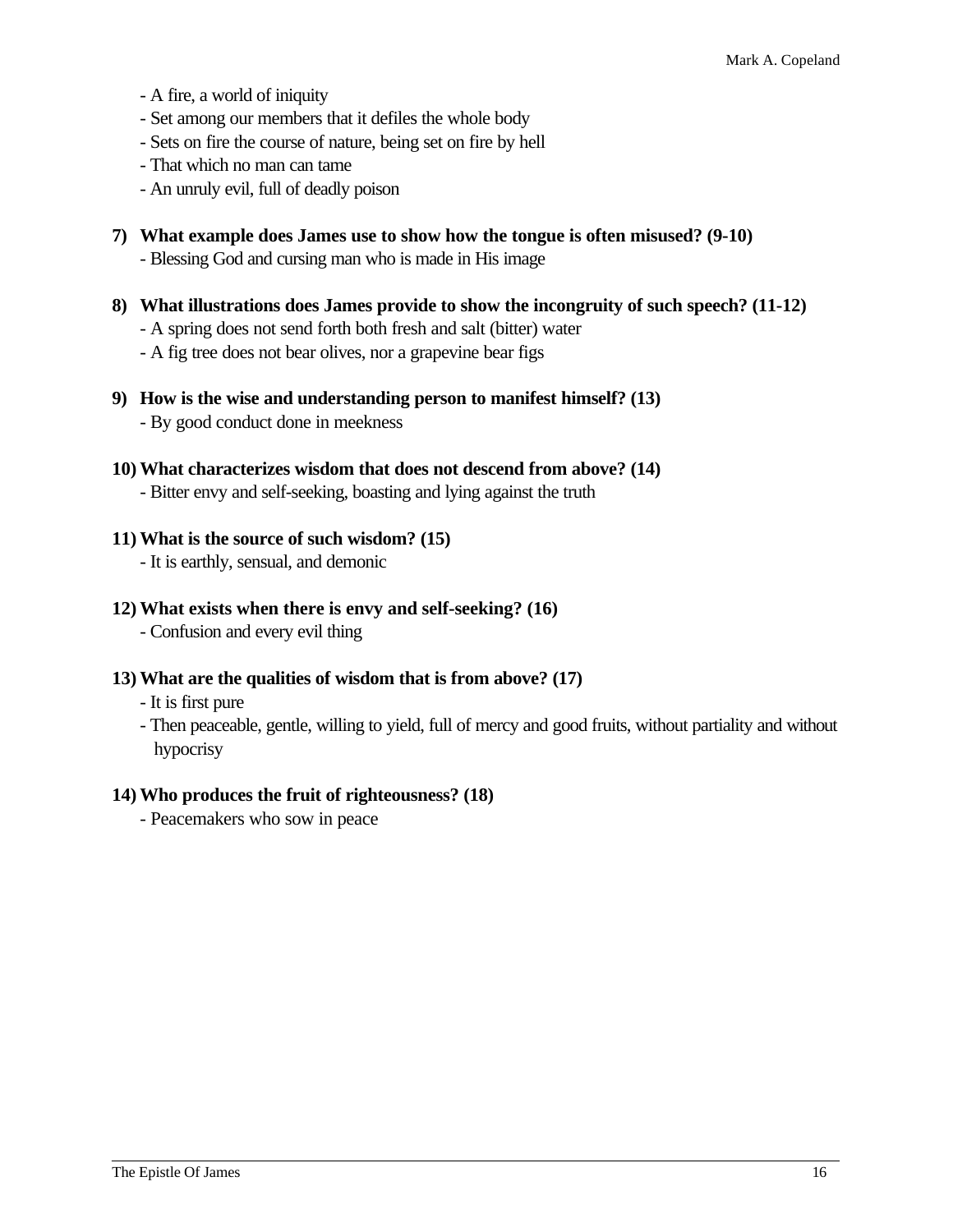- A fire, a world of iniquity
- Set among our members that it defiles the whole body
- Sets on fire the course of nature, being set on fire by hell
- That which no man can tame
- An unruly evil, full of deadly poison
- **7) What example does James use to show how the tongue is often misused? (9-10)** - Blessing God and cursing man who is made in His image
- **8) What illustrations does James provide to show the incongruity of such speech? (11-12)** - A spring does not send forth both fresh and salt (bitter) water - A fig tree does not bear olives, nor a grapevine bear figs
- **9) How is the wise and understanding person to manifest himself? (13)** - By good conduct done in meekness
- **10) What characterizes wisdom that does not descend from above? (14)**
	- Bitter envy and self-seeking, boasting and lying against the truth
- **11) What is the source of such wisdom? (15)**
	- It is earthly, sensual, and demonic
- **12) What exists when there is envy and self-seeking? (16)**
	- Confusion and every evil thing

# **13) What are the qualities of wisdom that is from above? (17)**

- It is first pure
- Then peaceable, gentle, willing to yield, full of mercy and good fruits, without partiality and without hypocrisy

# **14) Who produces the fruit of righteousness? (18)**

- Peacemakers who sow in peace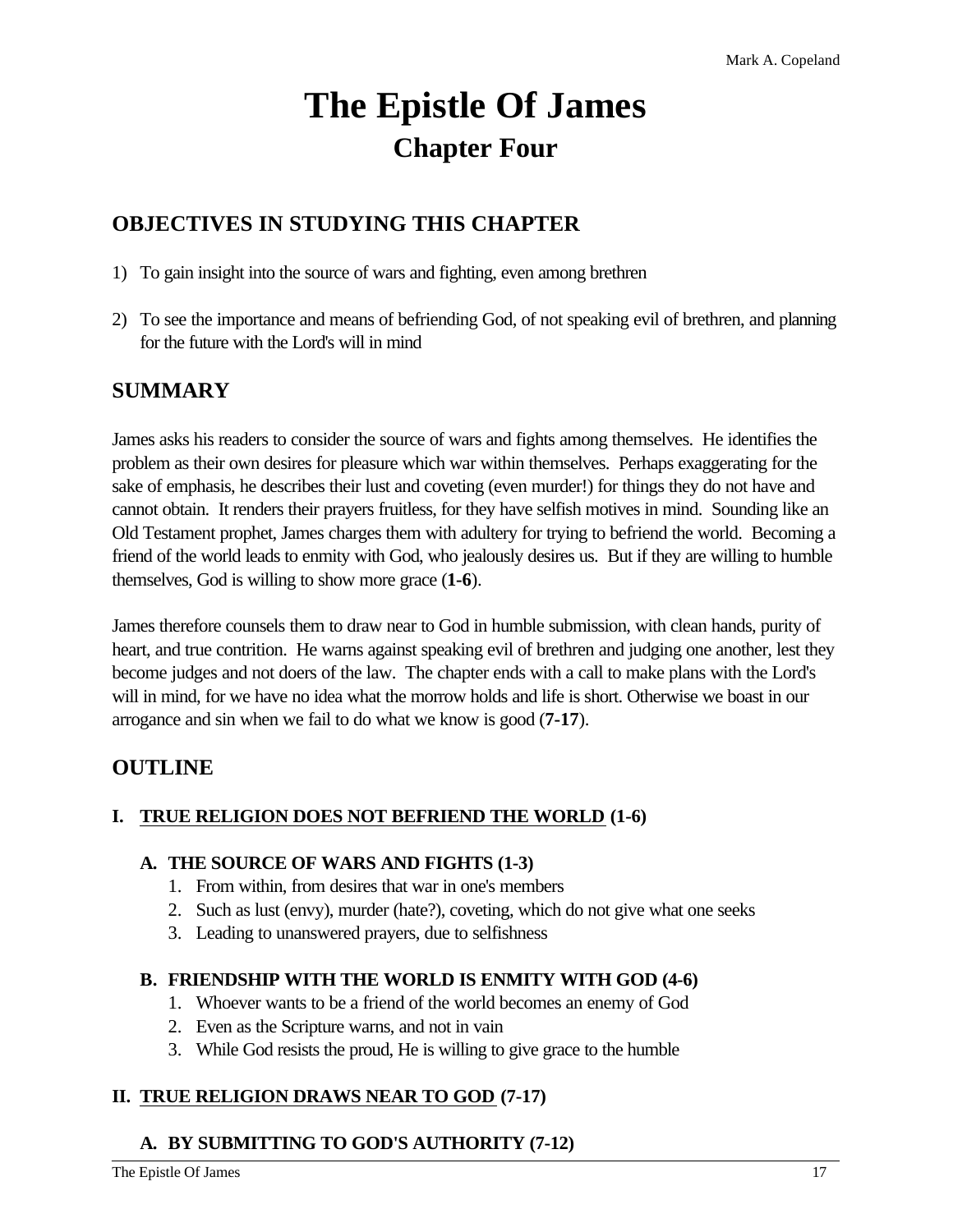# **The Epistle Of James Chapter Four**

# **OBJECTIVES IN STUDYING THIS CHAPTER**

- 1) To gain insight into the source of wars and fighting, even among brethren
- 2) To see the importance and means of befriending God, of not speaking evil of brethren, and planning for the future with the Lord's will in mind

# **SUMMARY**

James asks his readers to consider the source of wars and fights among themselves. He identifies the problem as their own desires for pleasure which war within themselves. Perhaps exaggerating for the sake of emphasis, he describes their lust and coveting (even murder!) for things they do not have and cannot obtain. It renders their prayers fruitless, for they have selfish motives in mind. Sounding like an Old Testament prophet, James charges them with adultery for trying to befriend the world. Becoming a friend of the world leads to enmity with God, who jealously desires us. But if they are willing to humble themselves, God is willing to show more grace (**1-6**).

James therefore counsels them to draw near to God in humble submission, with clean hands, purity of heart, and true contrition. He warns against speaking evil of brethren and judging one another, lest they become judges and not doers of the law. The chapter ends with a call to make plans with the Lord's will in mind, for we have no idea what the morrow holds and life is short. Otherwise we boast in our arrogance and sin when we fail to do what we know is good (**7-17**).

# **OUTLINE**

# **I. TRUE RELIGION DOES NOT BEFRIEND THE WORLD (1-6)**

# **A. THE SOURCE OF WARS AND FIGHTS (1-3)**

- 1. From within, from desires that war in one's members
- 2. Such as lust (envy), murder (hate?), coveting, which do not give what one seeks
- 3. Leading to unanswered prayers, due to selfishness

# **B. FRIENDSHIP WITH THE WORLD IS ENMITY WITH GOD (4-6)**

- 1. Whoever wants to be a friend of the world becomes an enemy of God
- 2. Even as the Scripture warns, and not in vain
- 3. While God resists the proud, He is willing to give grace to the humble

# **II. TRUE RELIGION DRAWS NEAR TO GOD (7-17)**

# **A. BY SUBMITTING TO GOD'S AUTHORITY (7-12)**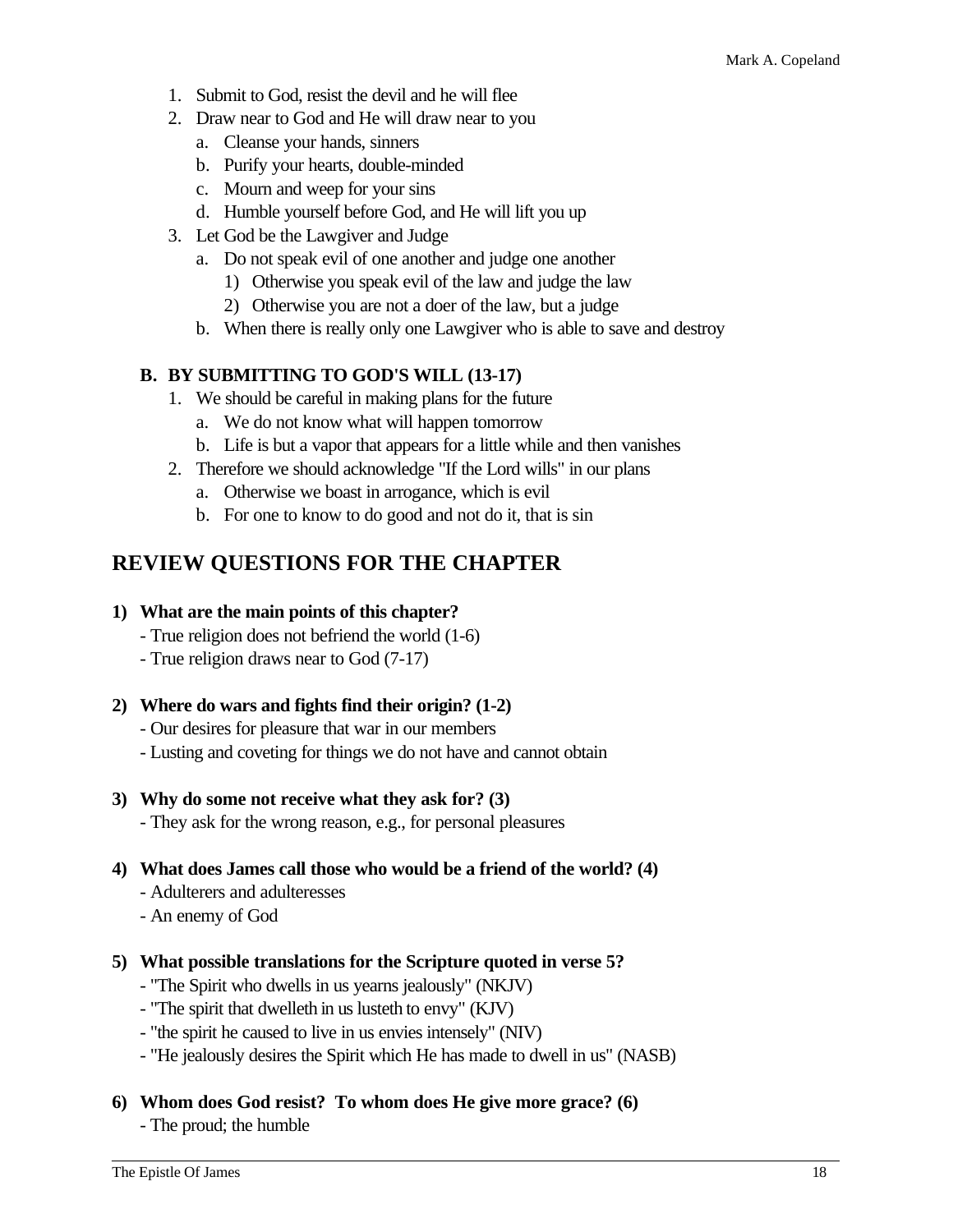- 1. Submit to God, resist the devil and he will flee
- 2. Draw near to God and He will draw near to you
	- a. Cleanse your hands, sinners
	- b. Purify your hearts, double-minded
	- c. Mourn and weep for your sins
	- d. Humble yourself before God, and He will lift you up
- 3. Let God be the Lawgiver and Judge
	- a. Do not speak evil of one another and judge one another
		- 1) Otherwise you speak evil of the law and judge the law
		- 2) Otherwise you are not a doer of the law, but a judge
	- b. When there is really only one Lawgiver who is able to save and destroy

# **B. BY SUBMITTING TO GOD'S WILL (13-17)**

- 1. We should be careful in making plans for the future
	- a. We do not know what will happen tomorrow
	- b. Life is but a vapor that appears for a little while and then vanishes
- 2. Therefore we should acknowledge "If the Lord wills" in our plans
	- a. Otherwise we boast in arrogance, which is evil
	- b. For one to know to do good and not do it, that is sin

# **REVIEW QUESTIONS FOR THE CHAPTER**

#### **1) What are the main points of this chapter?**

- True religion does not befriend the world (1-6)
- True religion draws near to God (7-17)

# **2) Where do wars and fights find their origin? (1-2)**

- Our desires for pleasure that war in our members
- Lusting and coveting for things we do not have and cannot obtain

# **3) Why do some not receive what they ask for? (3)**

- They ask for the wrong reason, e.g., for personal pleasures

# **4) What does James call those who would be a friend of the world? (4)**

- Adulterers and adulteresses
- An enemy of God

#### **5) What possible translations for the Scripture quoted in verse 5?**

- "The Spirit who dwells in us yearns jealously" (NKJV)
- "The spirit that dwelleth in us lusteth to envy" (KJV)
- "the spirit he caused to live in us envies intensely" (NIV)
- "He jealously desires the Spirit which He has made to dwell in us" (NASB)

#### **6) Whom does God resist? To whom does He give more grace? (6)**

- The proud; the humble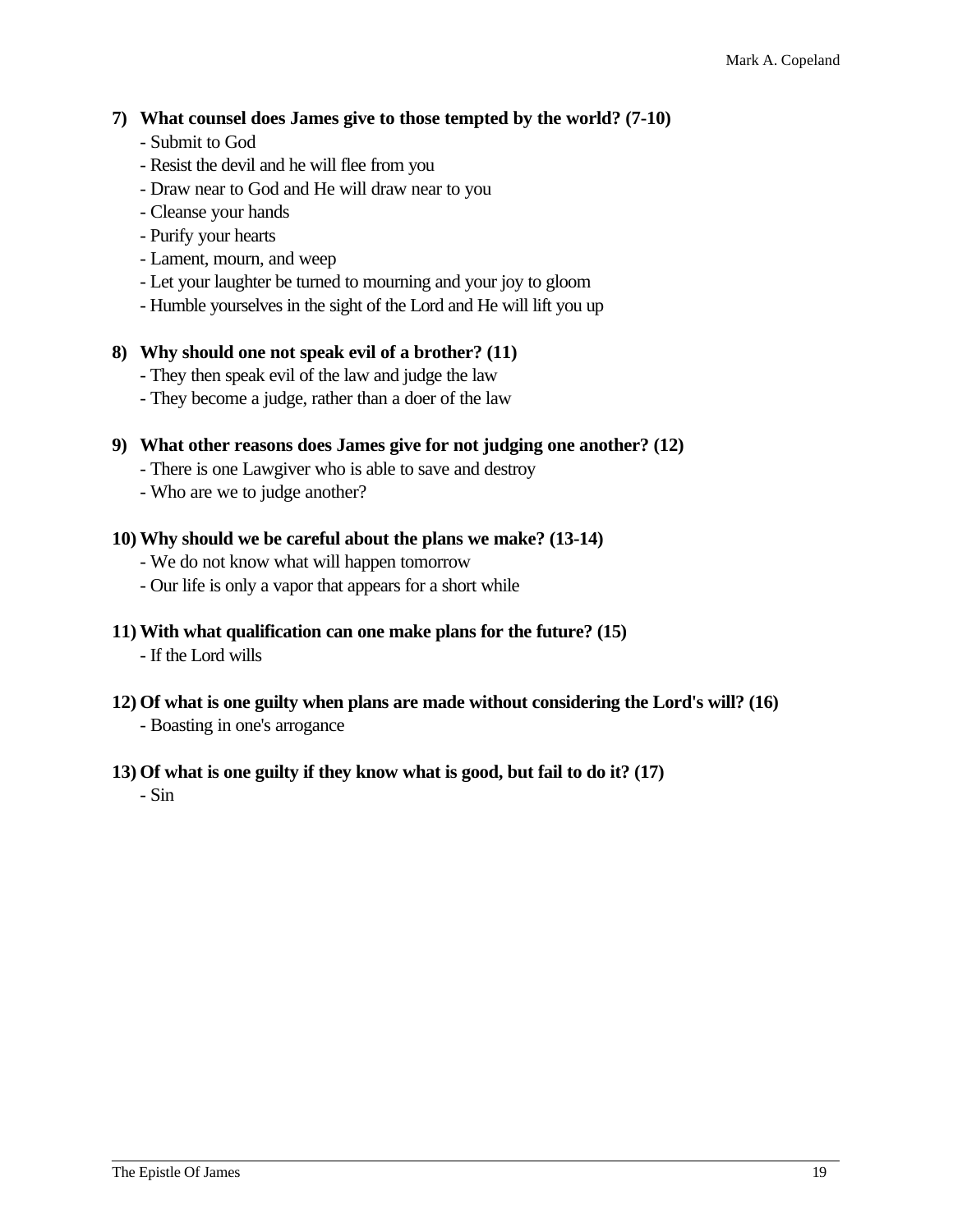# **7) What counsel does James give to those tempted by the world? (7-10)**

- Submit to God
- Resist the devil and he will flee from you
- Draw near to God and He will draw near to you
- Cleanse your hands
- Purify your hearts
- Lament, mourn, and weep
- Let your laughter be turned to mourning and your joy to gloom
- Humble yourselves in the sight of the Lord and He will lift you up

#### **8) Why should one not speak evil of a brother? (11)**

- They then speak evil of the law and judge the law
- They become a judge, rather than a doer of the law

#### **9) What other reasons does James give for not judging one another? (12)**

- There is one Lawgiver who is able to save and destroy
- Who are we to judge another?

#### **10) Why should we be careful about the plans we make? (13-14)**

- We do not know what will happen tomorrow
- Our life is only a vapor that appears for a short while

#### **11) With what qualification can one make plans for the future? (15)**

- If the Lord wills
- **12) Of what is one guilty when plans are made without considering the Lord's will? (16)** - Boasting in one's arrogance

#### **13) Of what is one guilty if they know what is good, but fail to do it? (17)**

- Sin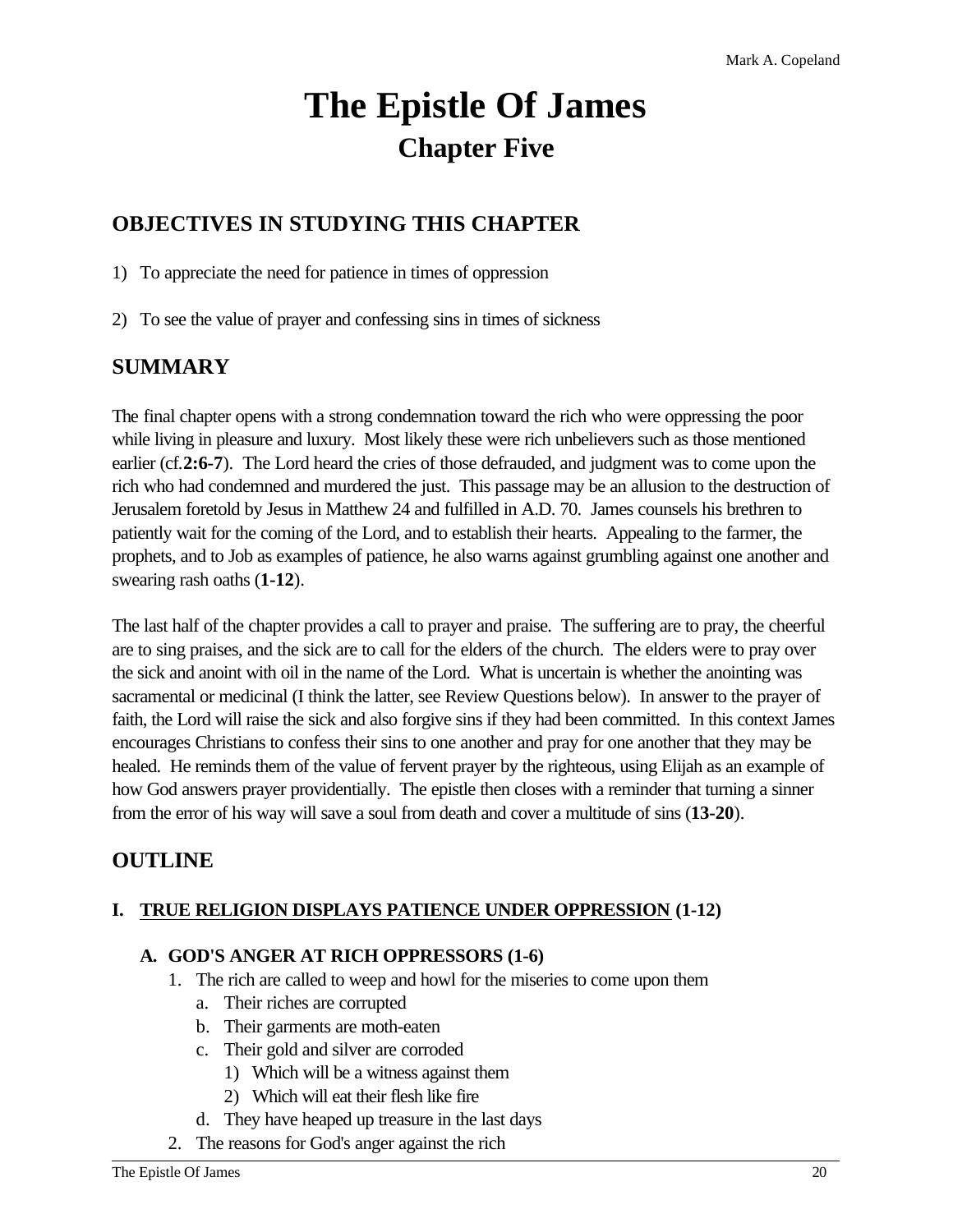# **The Epistle Of James Chapter Five**

# **OBJECTIVES IN STUDYING THIS CHAPTER**

1) To appreciate the need for patience in times of oppression

2) To see the value of prayer and confessing sins in times of sickness

# **SUMMARY**

The final chapter opens with a strong condemnation toward the rich who were oppressing the poor while living in pleasure and luxury. Most likely these were rich unbelievers such as those mentioned earlier (cf.**2:6-7**). The Lord heard the cries of those defrauded, and judgment was to come upon the rich who had condemned and murdered the just. This passage may be an allusion to the destruction of Jerusalem foretold by Jesus in Matthew 24 and fulfilled in A.D. 70. James counsels his brethren to patiently wait for the coming of the Lord, and to establish their hearts. Appealing to the farmer, the prophets, and to Job as examples of patience, he also warns against grumbling against one another and swearing rash oaths (**1-12**).

The last half of the chapter provides a call to prayer and praise. The suffering are to pray, the cheerful are to sing praises, and the sick are to call for the elders of the church. The elders were to pray over the sick and anoint with oil in the name of the Lord. What is uncertain is whether the anointing was sacramental or medicinal (I think the latter, see Review Questions below). In answer to the prayer of faith, the Lord will raise the sick and also forgive sins if they had been committed. In this context James encourages Christians to confess their sins to one another and pray for one another that they may be healed. He reminds them of the value of fervent prayer by the righteous, using Elijah as an example of how God answers prayer providentially. The epistle then closes with a reminder that turning a sinner from the error of his way will save a soul from death and cover a multitude of sins (**13-20**).

# **OUTLINE**

# **I. TRUE RELIGION DISPLAYS PATIENCE UNDER OPPRESSION (1-12)**

# **A. GOD'S ANGER AT RICH OPPRESSORS (1-6)**

- 1. The rich are called to weep and howl for the miseries to come upon them
	- a. Their riches are corrupted
	- b. Their garments are moth-eaten
	- c. Their gold and silver are corroded
		- 1) Which will be a witness against them
		- 2) Which will eat their flesh like fire
	- d. They have heaped up treasure in the last days
- 2. The reasons for God's anger against the rich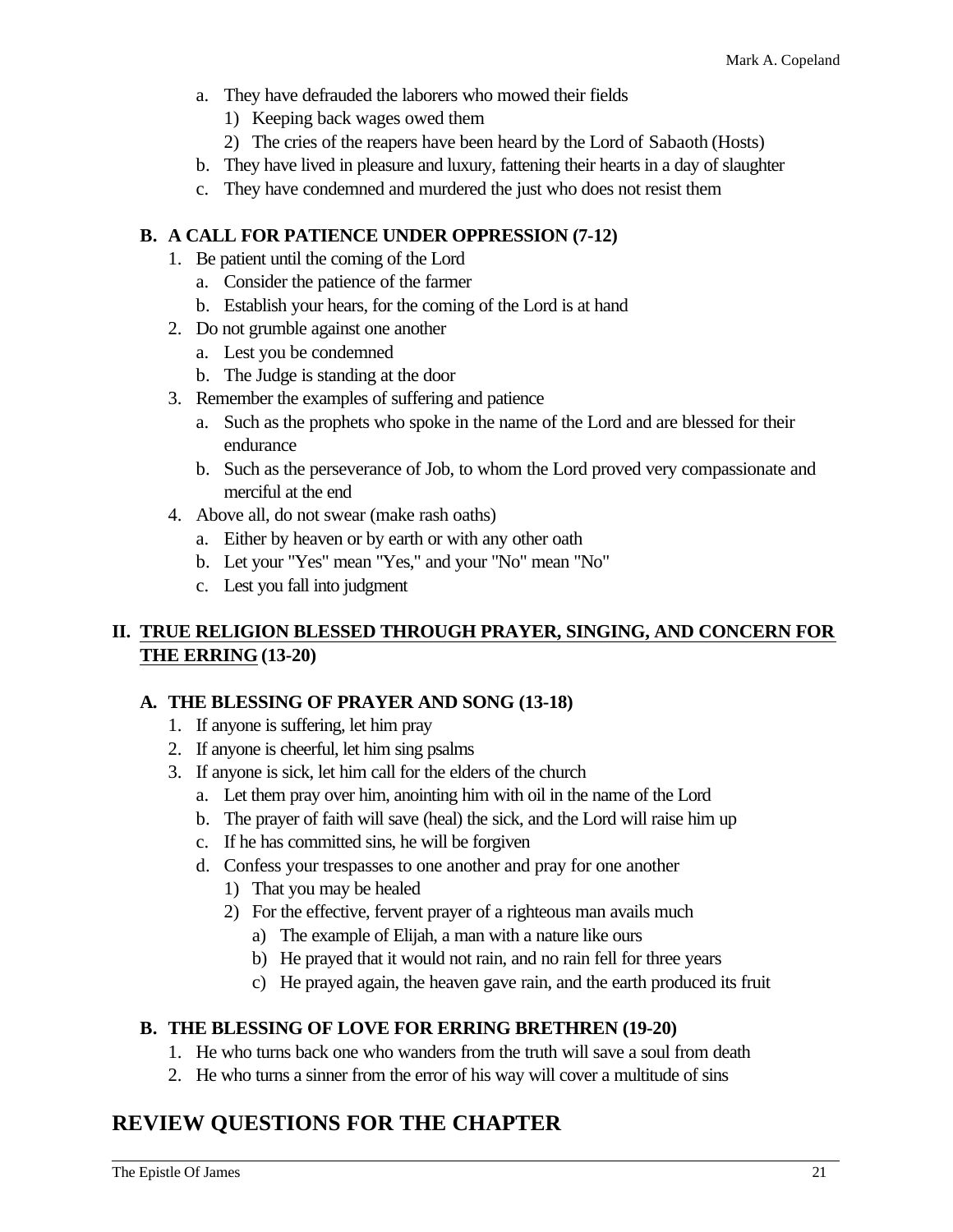- a. They have defrauded the laborers who mowed their fields
	- 1) Keeping back wages owed them
	- 2) The cries of the reapers have been heard by the Lord of Sabaoth (Hosts)
- b. They have lived in pleasure and luxury, fattening their hearts in a day of slaughter
- c. They have condemned and murdered the just who does not resist them

# **B. A CALL FOR PATIENCE UNDER OPPRESSION (7-12)**

- 1. Be patient until the coming of the Lord
	- a. Consider the patience of the farmer
	- b. Establish your hears, for the coming of the Lord is at hand
- 2. Do not grumble against one another
	- a. Lest you be condemned
	- b. The Judge is standing at the door
- 3. Remember the examples of suffering and patience
	- a. Such as the prophets who spoke in the name of the Lord and are blessed for their endurance
	- b. Such as the perseverance of Job, to whom the Lord proved very compassionate and merciful at the end
- 4. Above all, do not swear (make rash oaths)
	- a. Either by heaven or by earth or with any other oath
	- b. Let your "Yes" mean "Yes," and your "No" mean "No"
	- c. Lest you fall into judgment

# **II. TRUE RELIGION BLESSED THROUGH PRAYER, SINGING, AND CONCERN FOR THE ERRING (13-20)**

# **A. THE BLESSING OF PRAYER AND SONG (13-18)**

- 1. If anyone is suffering, let him pray
- 2. If anyone is cheerful, let him sing psalms
- 3. If anyone is sick, let him call for the elders of the church
	- a. Let them pray over him, anointing him with oil in the name of the Lord
	- b. The prayer of faith will save (heal) the sick, and the Lord will raise him up
	- c. If he has committed sins, he will be forgiven
	- d. Confess your trespasses to one another and pray for one another
		- 1) That you may be healed
		- 2) For the effective, fervent prayer of a righteous man avails much
			- a) The example of Elijah, a man with a nature like ours
			- b) He prayed that it would not rain, and no rain fell for three years
			- c) He prayed again, the heaven gave rain, and the earth produced its fruit

# **B. THE BLESSING OF LOVE FOR ERRING BRETHREN (19-20)**

- 1. He who turns back one who wanders from the truth will save a soul from death
- 2. He who turns a sinner from the error of his way will cover a multitude of sins

# **REVIEW QUESTIONS FOR THE CHAPTER**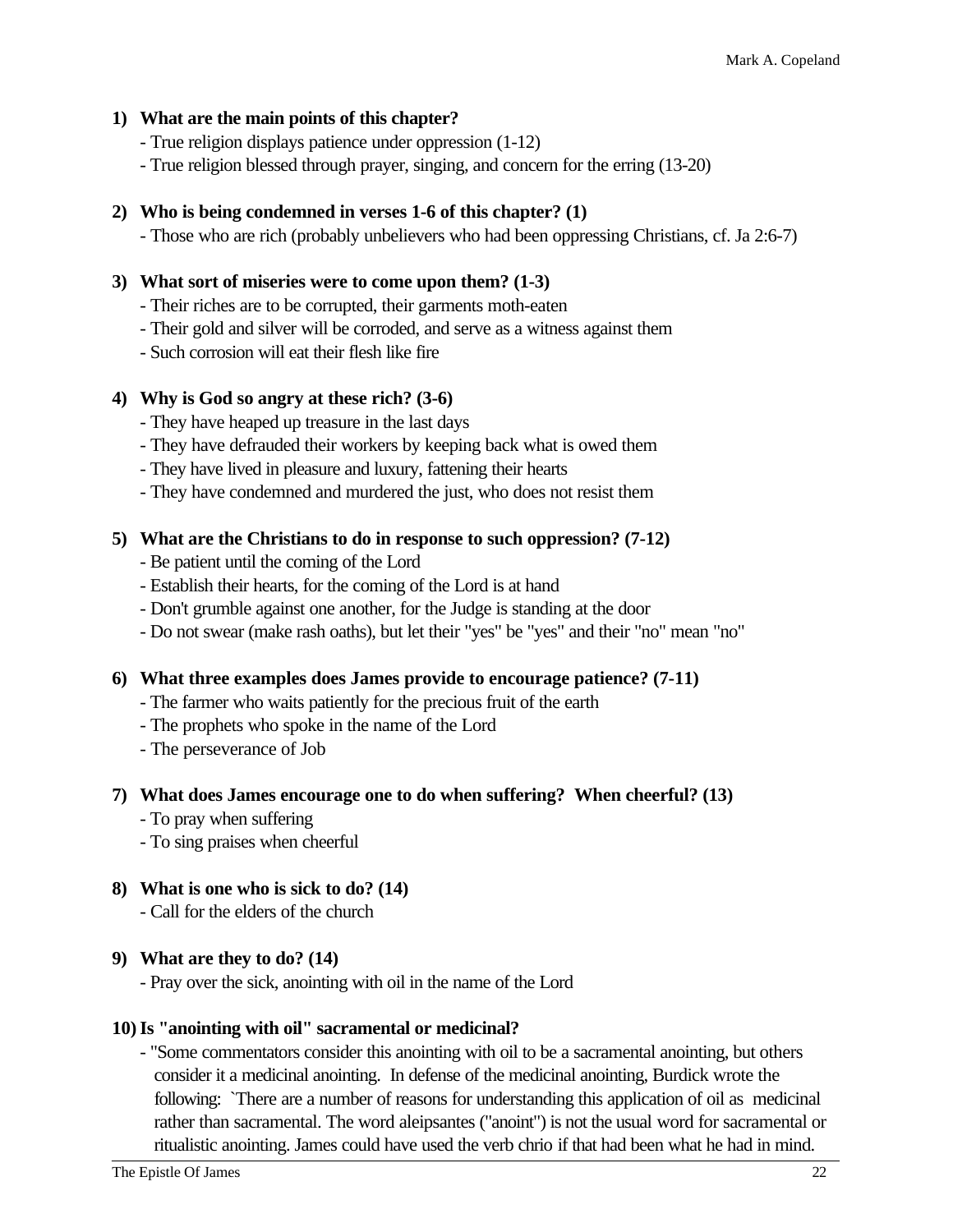#### **1) What are the main points of this chapter?**

- True religion displays patience under oppression (1-12)
- True religion blessed through prayer, singing, and concern for the erring (13-20)

#### **2) Who is being condemned in verses 1-6 of this chapter? (1)**

- Those who are rich (probably unbelievers who had been oppressing Christians, cf. Ja 2:6-7)

#### **3) What sort of miseries were to come upon them? (1-3)**

- Their riches are to be corrupted, their garments moth-eaten
- Their gold and silver will be corroded, and serve as a witness against them
- Such corrosion will eat their flesh like fire

#### **4) Why is God so angry at these rich? (3-6)**

- They have heaped up treasure in the last days
- They have defrauded their workers by keeping back what is owed them
- They have lived in pleasure and luxury, fattening their hearts
- They have condemned and murdered the just, who does not resist them

#### **5) What are the Christians to do in response to such oppression? (7-12)**

- Be patient until the coming of the Lord
- Establish their hearts, for the coming of the Lord is at hand
- Don't grumble against one another, for the Judge is standing at the door
- Do not swear (make rash oaths), but let their "yes" be "yes" and their "no" mean "no"

#### **6) What three examples does James provide to encourage patience? (7-11)**

- The farmer who waits patiently for the precious fruit of the earth
- The prophets who spoke in the name of the Lord
- The perseverance of Job

#### **7) What does James encourage one to do when suffering? When cheerful? (13)**

- To pray when suffering
- To sing praises when cheerful

#### **8) What is one who is sick to do? (14)**

- Call for the elders of the church

#### **9) What are they to do? (14)**

- Pray over the sick, anointing with oil in the name of the Lord

#### **10)Is "anointing with oil" sacramental or medicinal?**

- "Some commentators consider this anointing with oil to be a sacramental anointing, but others consider it a medicinal anointing. In defense of the medicinal anointing, Burdick wrote the following: `There are a number of reasons for understanding this application of oil as medicinal rather than sacramental. The word aleipsantes ("anoint") is not the usual word for sacramental or ritualistic anointing. James could have used the verb chrio if that had been what he had in mind.